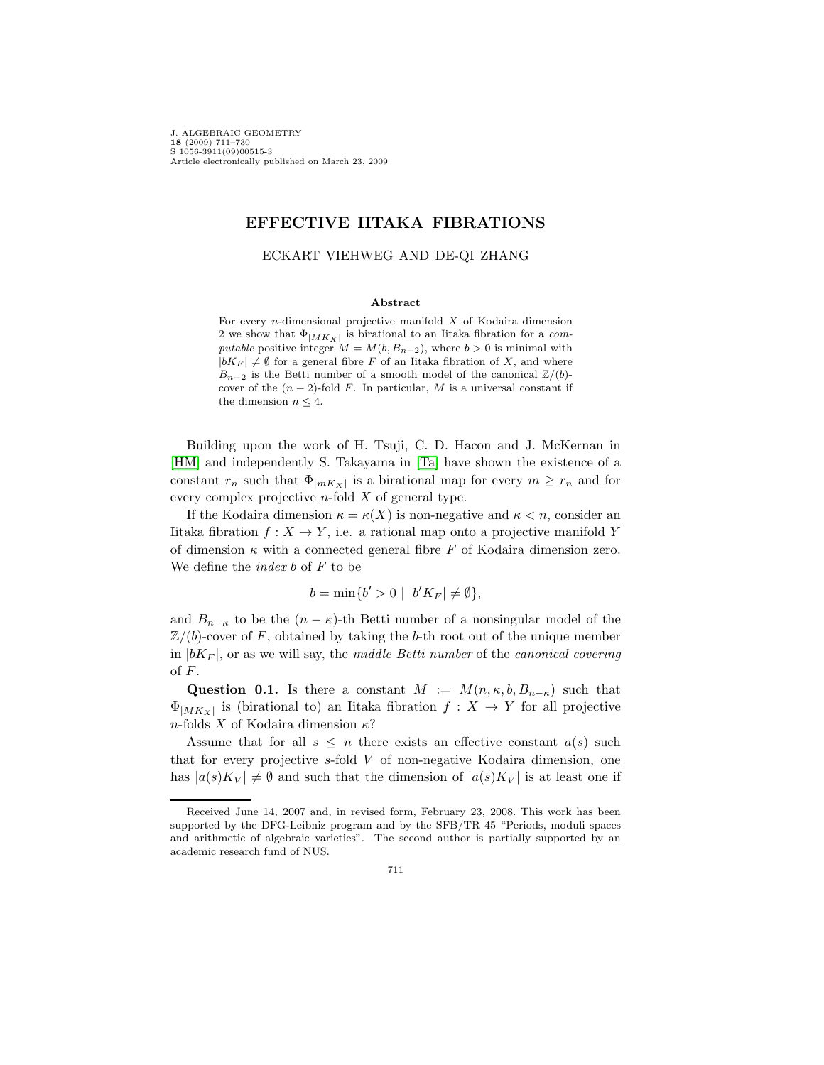J. ALGEBRAIC GEOMETRY **18** (2009) 711–730 S 1056-3911(09)00515-3 Article electronically published on March 23, 2009

# **EFFECTIVE IITAKA FIBRATIONS**

## ECKART VIEHWEG AND DE-QI ZHANG

#### **Abstract**

For every  $n$ -dimensional projective manifold  $X$  of Kodaira dimension 2 we show that  $\Phi_{|MK_X|}$  is birational to an Iitaka fibration for a com*putable* positive integer  $M = M(b, B_{n-2})$ , where  $b > 0$  is minimal with  $|bK_F| \neq \emptyset$  for a general fibre F of an Iitaka fibration of X, and where  $B_{n-2}$  is the Betti number of a smooth model of the canonical  $\mathbb{Z}/(b)$ cover of the  $(n-2)$ -fold F. In particular, M is a universal constant if the dimension  $n \leq 4$ .

Building upon the work of H. Tsuji, C. D. Hacon and J. McKernan in [\[HM\]](#page-18-0) and independently S. Takayama in [\[Ta\]](#page-19-0) have shown the existence of a constant  $r_n$  such that  $\Phi_{|mK_X|}$  is a birational map for every  $m \geq r_n$  and for every complex projective  $n$ -fold  $X$  of general type.

If the Kodaira dimension  $\kappa = \kappa(X)$  is non-negative and  $\kappa < n$ , consider an Iitaka fibration  $f: X \to Y$ , i.e. a rational map onto a projective manifold Y of dimension  $\kappa$  with a connected general fibre F of Kodaira dimension zero. We define the *index b* of  $F$  to be

$$
b = \min\{b' > 0 \mid |b'K_F| \neq \emptyset\},\
$$

and  $B_{n-\kappa}$  to be the  $(n-\kappa)$ -th Betti number of a nonsingular model of the  $\mathbb{Z}/(b)$ -cover of F, obtained by taking the b-th root out of the unique member in  $|bK_F|$ , or as we will say, the middle Betti number of the canonical covering of  $F$ .

<span id="page-0-0"></span>**Question 0.1.** Is there a constant  $M := M(n, \kappa, b, B_{n-\kappa})$  such that  $\Phi_{|MK_X|}$  is (birational to) an Iitaka fibration  $f: X \to Y$  for all projective *n*-folds  $X$  of Kodaira dimension  $\kappa$ ?

Assume that for all  $s \leq n$  there exists an effective constant  $a(s)$  such that for every projective  $s$ -fold  $V$  of non-negative Kodaira dimension, one has  $|a(s) K_V| \neq \emptyset$  and such that the dimension of  $|a(s) K_V|$  is at least one if

Received June 14, 2007 and, in revised form, February 23, 2008. This work has been supported by the DFG-Leibniz program and by the SFB/TR 45 "Periods, moduli spaces and arithmetic of algebraic varieties". The second author is partially supported by an academic research fund of NUS.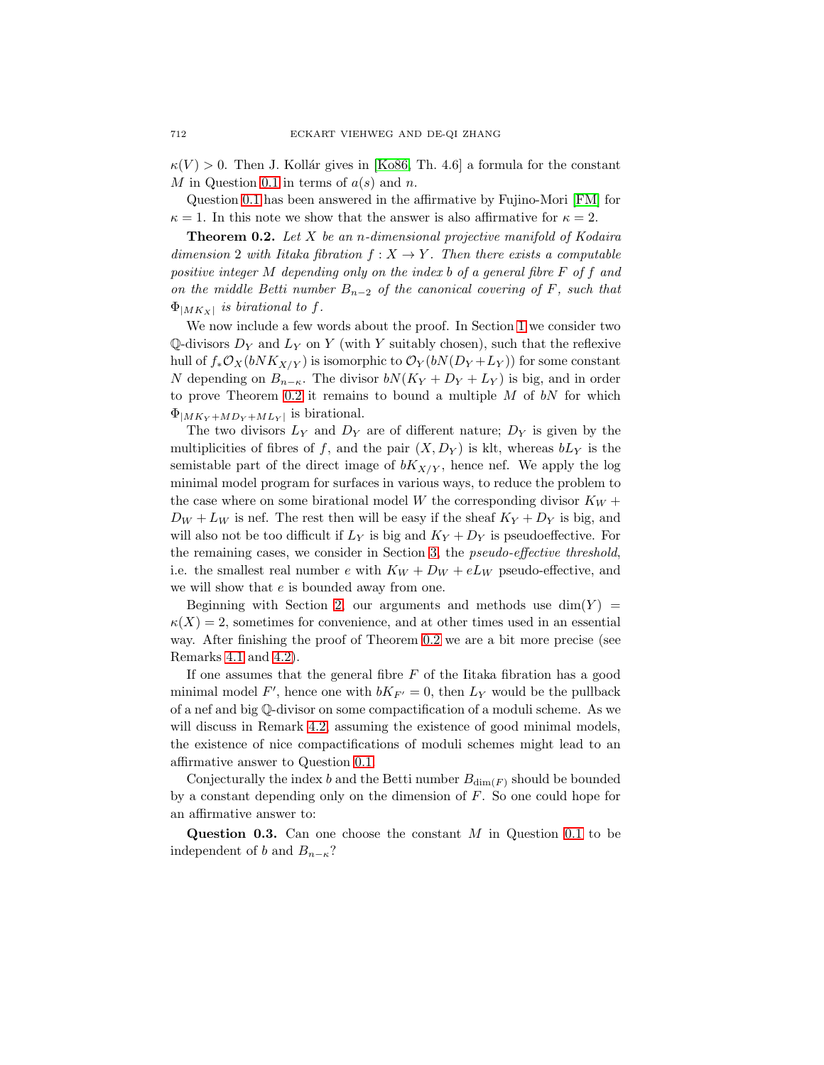$\kappa(V) > 0$ . Then J. Kollár gives in [\[Ko86,](#page-18-1) Th. 4.6] a formula for the constant M in Question [0.1](#page-0-0) in terms of  $a(s)$  and n.

<span id="page-1-0"></span>Question [0.1](#page-0-0) has been answered in the affirmative by Fujino-Mori [\[FM\]](#page-18-2) for  $\kappa = 1$ . In this note we show that the answer is also affirmative for  $\kappa = 2$ .

**Theorem 0.2.** Let  $X$  be an n-dimensional projective manifold of Kodaira dimension 2 with Iitaka fibration  $f: X \to Y$ . Then there exists a computable positive integer  $M$  depending only on the index  $b$  of a general fibre  $F$  of  $f$  and on the middle Betti number  $B_{n-2}$  of the canonical covering of F, such that  $\Phi_{|MK_X|}$  is birational to f.

We now include a few words about the proof. In Section [1](#page-2-0) we consider two  $\mathbb{Q}$ -divisors  $D_Y$  and  $L_Y$  on Y (with Y suitably chosen), such that the reflexive hull of  $f_*\mathcal{O}_X(bNK_{X/Y})$  is isomorphic to  $\mathcal{O}_Y(bN(D_Y+L_Y))$  for some constant N depending on  $B_{n-\kappa}$ . The divisor  $bN(K_Y + D_Y + L_Y)$  is big, and in order to prove Theorem [0.2](#page-1-0) it remains to bound a multiple  $M$  of  $bN$  for which  $\Phi_{|MK_Y+MD_Y+ML_Y|}$  is birational.

The two divisors  $L_Y$  and  $D_Y$  are of different nature;  $D_Y$  is given by the multiplicities of fibres of f, and the pair  $(X, D_Y)$  is klt, whereas  $bL_Y$  is the semistable part of the direct image of  $bK_{X/Y}$ , hence nef. We apply the log minimal model program for surfaces in various ways, to reduce the problem to the case where on some birational model W the corresponding divisor  $K_W$  +  $D_W + L_W$  is nef. The rest then will be easy if the sheaf  $K_Y + D_Y$  is big, and will also not be too difficult if  $L_Y$  is big and  $K_Y + D_Y$  is pseudoeffective. For the remaining cases, we consider in Section [3,](#page-11-0) the pseudo-effective threshold, i.e. the smallest real number  $e$  with  $K_W + D_W + eL_W$  pseudo-effective, and we will show that  $e$  is bounded away from one.

Beginning with Section [2,](#page-4-0) our arguments and methods use  $\dim(Y)$  =  $\kappa(X) = 2$ , sometimes for convenience, and at other times used in an essential way. After finishing the proof of Theorem [0.2](#page-1-0) we are a bit more precise (see Remarks [4.1](#page-16-0) and [4.2\)](#page-16-1).

If one assumes that the general fibre  $F$  of the Iitaka fibration has a good minimal model F', hence one with  $bK_{F'} = 0$ , then  $L_Y$  would be the pullback of a nef and big ℚ-divisor on some compactification of a moduli scheme. As we will discuss in Remark [4.2,](#page-16-1) assuming the existence of good minimal models, the existence of nice compactifications of moduli schemes might lead to an affirmative answer to Question [0.1.](#page-0-0)

Conjecturally the index  $b$  and the Betti number  $B_{\dim(F)}$  should be bounded by a constant depending only on the dimension of  $F$ . So one could hope for an affirmative answer to:

**Question 0.3.** Can one choose the constant  $M$  in Question [0.1](#page-0-0) to be independent of *b* and  $B_{n-\kappa}$ ?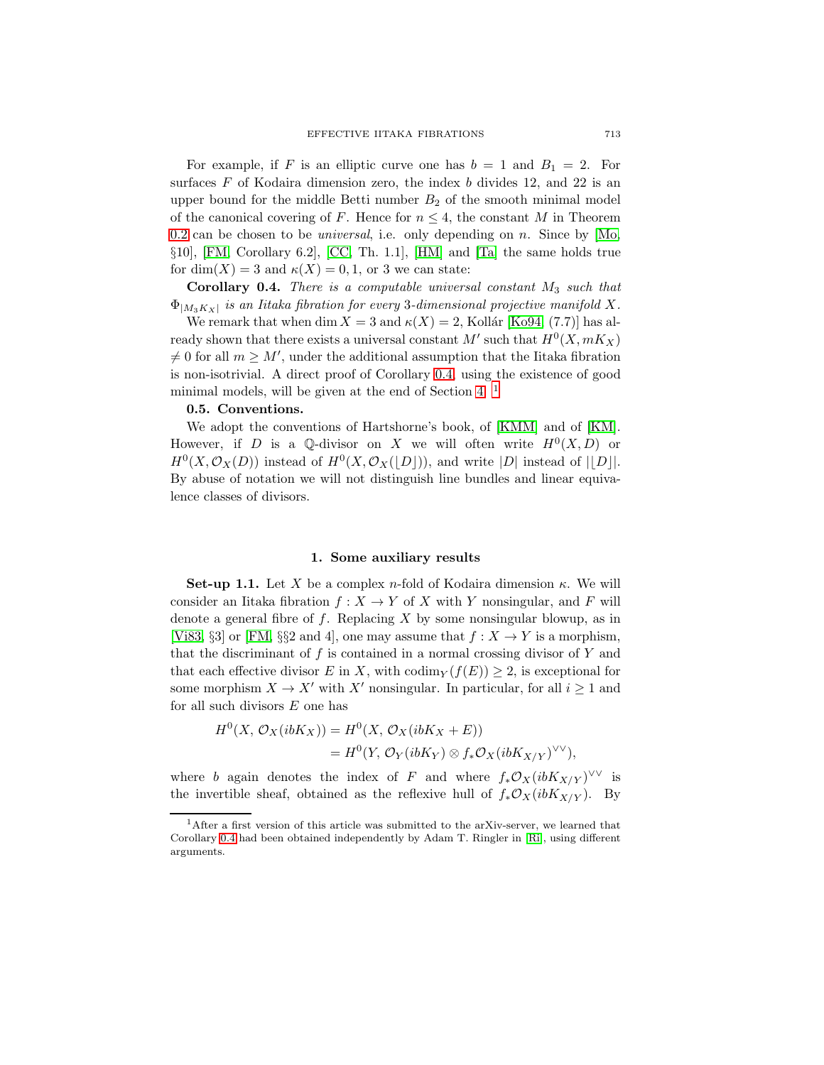For example, if F is an elliptic curve one has  $b = 1$  and  $B_1 = 2$ . For surfaces  $F$  of Kodaira dimension zero, the index  $b$  divides 12, and 22 is an upper bound for the middle Betti number  $B_2$  of the smooth minimal model of the canonical covering of F. Hence for  $n \leq 4$ , the constant M in Theorem [0.2](#page-1-0) can be chosen to be *universal*, i.e. only depending on  $n$ . Since by [\[Mo,](#page-18-3) §10], [\[FM,](#page-18-2) Corollary 6.2], [\[CC,](#page-18-4) Th. 1.1], [\[HM\]](#page-18-0) and [\[Ta\]](#page-19-0) the same holds true for dim(X) = 3 and  $\kappa(X) = 0, 1$ , or 3 we can state:

<span id="page-2-1"></span>**Corollary 0.4.** There is a computable universal constant  $M_3$  such that  $\Phi_{|M_3K_X|}$  is an Iitaka fibration for every 3-dimensional projective manifold X.

We remark that when dim  $X = 3$  and  $\kappa(X) = 2$ , Kollár [\[Ko94,](#page-18-5) (7.7)] has already shown that there exists a universal constant  $M'$  such that  $H^0(X, mK_X)$  $\neq 0$  for all  $m \geq M'$ , under the additional assumption that the Iitaka fibration is non-isotrivial. A direct proof of Corollary [0.4,](#page-2-1) using the existence of good minimal models, will be given at the end of Section [4.](#page-16-2)  $<sup>1</sup>$  $<sup>1</sup>$  $<sup>1</sup>$ </sup>

## **0.5. Conventions.**

We adopt the conventions of Hartshorne's book, of [\[KMM\]](#page-18-6) and of [\[KM\]](#page-18-7). However, if D is a Q-divisor on X we will often write  $H^0(X, D)$  or  $H^0(X, \mathcal{O}_X(D))$  instead of  $H^0(X, \mathcal{O}_X(|D|))$ , and write |D| instead of ||D||. By abuse of notation we will not distinguish line bundles and linear equivalence classes of divisors.

### **1. Some auxiliary results**

<span id="page-2-3"></span><span id="page-2-0"></span>**Set-up 1.1.** Let X be a complex n-fold of Kodaira dimension  $\kappa$ . We will consider an Iitaka fibration  $f: X \to Y$  of X with Y nonsingular, and F will denote a general fibre of  $f$ . Replacing  $X$  by some nonsingular blowup, as in [\[Vi83,](#page-19-1) §3] or [\[FM,](#page-18-2) §§2 and 4], one may assume that  $f : X \to Y$  is a morphism, that the discriminant of  $f$  is contained in a normal crossing divisor of  $Y$  and that each effective divisor E in X, with codim  $(y(f(E)) \geq 2$ , is exceptional for some morphism  $X \to X'$  with X' nonsingular. In particular, for all  $i \geq 1$  and for all such divisors  $E$  one has

$$
H^{0}(X, \mathcal{O}_{X}(ibK_{X})) = H^{0}(X, \mathcal{O}_{X}(ibK_{X} + E))
$$
  
=  $H^{0}(Y, \mathcal{O}_{Y}(ibK_{Y}) \otimes f_{*}\mathcal{O}_{X}(ibK_{X/Y})^{\vee\vee}),$ 

where *b* again denotes the index of  $F$  and where  $f_*\mathcal{O}_X(i b K_{X/Y})^{\vee\vee}$  is the invertible sheaf, obtained as the reflexive hull of  $f_*\mathcal{O}_X(i b K_{X/Y})$ . By

<span id="page-2-2"></span><sup>1</sup>After a first version of this article was submitted to the arXiv-server, we learned that Corollary [0.4](#page-2-1) had been obtained independently by Adam T. Ringler in [\[Ri\]](#page-19-2), using different arguments.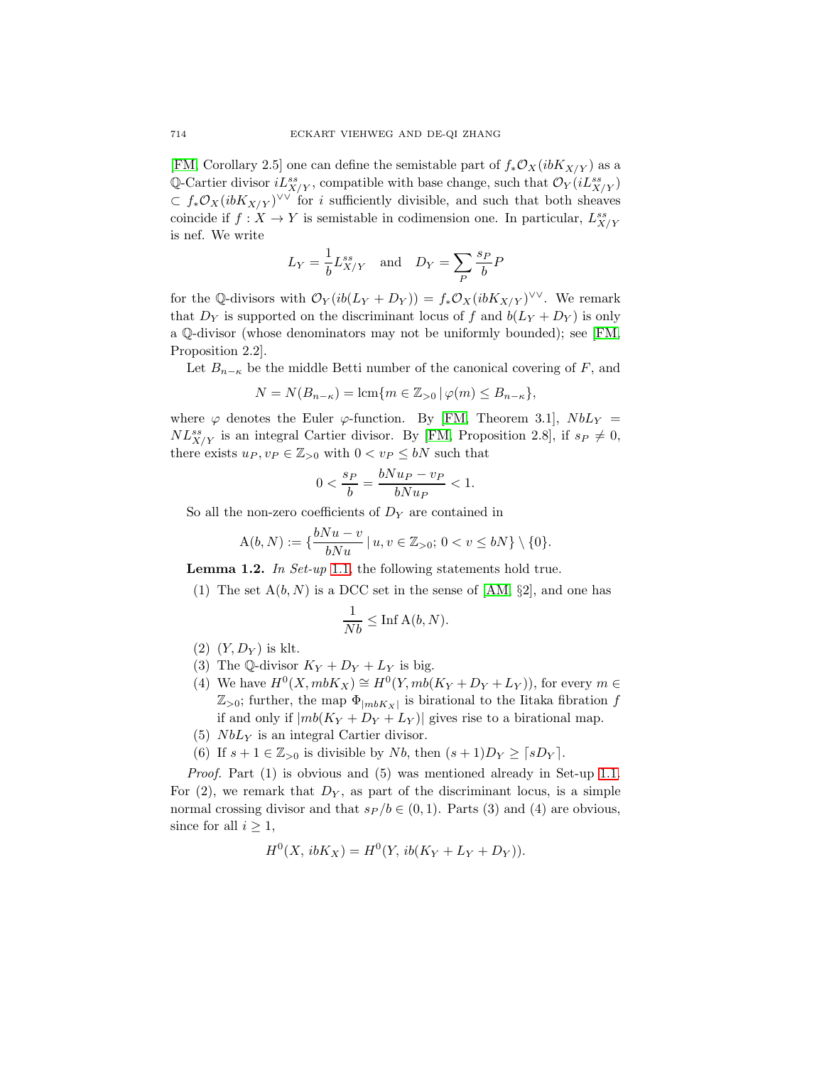[\[FM,](#page-18-2) Corollary 2.5] one can define the semistable part of  $f_*\mathcal{O}_X(i b K_{X/Y})$  as a Q-Cartier divisor  $iL_{X/Y}^{ss}$ , compatible with base change, such that  $\mathcal{O}_Y(iL_{X/Y}^{ss})$  $\subset f_*\mathcal{O}_X(ibK_{X/Y})^{\vee\vee}$  for *i* sufficiently divisible, and such that both sheaves coincide if  $f: X \to Y$  is semistable in codimension one. In particular,  $L^{ss}_{X/Y}$ is nef. We write

$$
L_Y = \frac{1}{b} L_{X/Y}^{ss}
$$
 and  $D_Y = \sum_P \frac{s_P}{b} P$ 

for the Q-divisors with  $\mathcal{O}_Y(i\delta(L_Y+D_Y)) = f_*\mathcal{O}_X(i\delta K_{X/Y})^{\vee\vee}$ . We remark that  $D_Y$  is supported on the discriminant locus of f and  $b(L_Y + D_Y)$  is only a ℚ-divisor (whose denominators may not be uniformly bounded); see [\[FM,](#page-18-2) Proposition 2.2].

Let  $B_{n-\kappa}$  be the middle Betti number of the canonical covering of F, and

$$
N = N(B_{n-\kappa}) = \operatorname{lcm}\{m \in \mathbb{Z}_{>0} \,|\, \varphi(m) \leq B_{n-\kappa}\},
$$

where  $\varphi$  denotes the Euler  $\varphi$ -function. By [\[FM,](#page-18-2) Theorem 3.1],  $NbL<sub>Y</sub>$  =  $NL^{ss}_{X/Y}$  is an integral Cartier divisor. By [\[FM,](#page-18-2) Proposition 2.8], if  $s_P \neq 0$ , there exists  $u_P, v_P \in \mathbb{Z}_{>0}$  with  $0 < v_P \leq bN$  such that

$$
0 < \frac{s_P}{b} = \frac{bN u_P - v_P}{bN u_P} < 1.
$$

So all the non-zero coefficients of  $D<sub>Y</sub>$  are contained in

$$
A(b, N) := \{ \frac{bNu - v}{bNu} \mid u, v \in \mathbb{Z}_{>0}; 0 < v \le bN \} \setminus \{0\}.
$$

<span id="page-3-0"></span>**Lemma 1.2.** In Set-up [1.1,](#page-2-3) the following statements hold true.

(1) The set  $A(b, N)$  is a DCC set in the sense of [\[AM,](#page-18-8)  $\S2$ ], and one has

$$
\frac{1}{Nb} \leq \ln \mathbf{A}(b, N).
$$

- $(2)$   $(Y, D_Y)$  is klt.
- (3) The Q-divisor  $K_Y + D_Y + L_Y$  is big.
- (4) We have  $H^0(X, mbK_X) \cong H^0(Y, mb(K_Y + D_Y + L_Y)),$  for every  $m \in$  $\mathbb{Z}_{>0}$ ; further, the map  $\Phi_{|mbK_X|}$  is birational to the Iitaka fibration f if and only if  $|mb(K_Y + D_Y + L_Y)|$  gives rise to a birational map.
- (5)  $NbL<sub>Y</sub>$  is an integral Cartier divisor.
- (6) If  $s + 1 \in \mathbb{Z}_{>0}$  is divisible by Nb, then  $(s + 1)D_Y \geq \lceil sD_Y \rceil$ .

Proof. Part (1) is obvious and (5) was mentioned already in Set-up [1.1.](#page-2-3) For  $(2)$ , we remark that  $D<sub>Y</sub>$ , as part of the discriminant locus, is a simple normal crossing divisor and that  $s_P/b \in (0, 1)$ . Parts (3) and (4) are obvious, since for all  $i \geq 1$ ,

$$
H^{0}(X, ibK_X) = H^{0}(Y, ib(K_Y + L_Y + D_Y)).
$$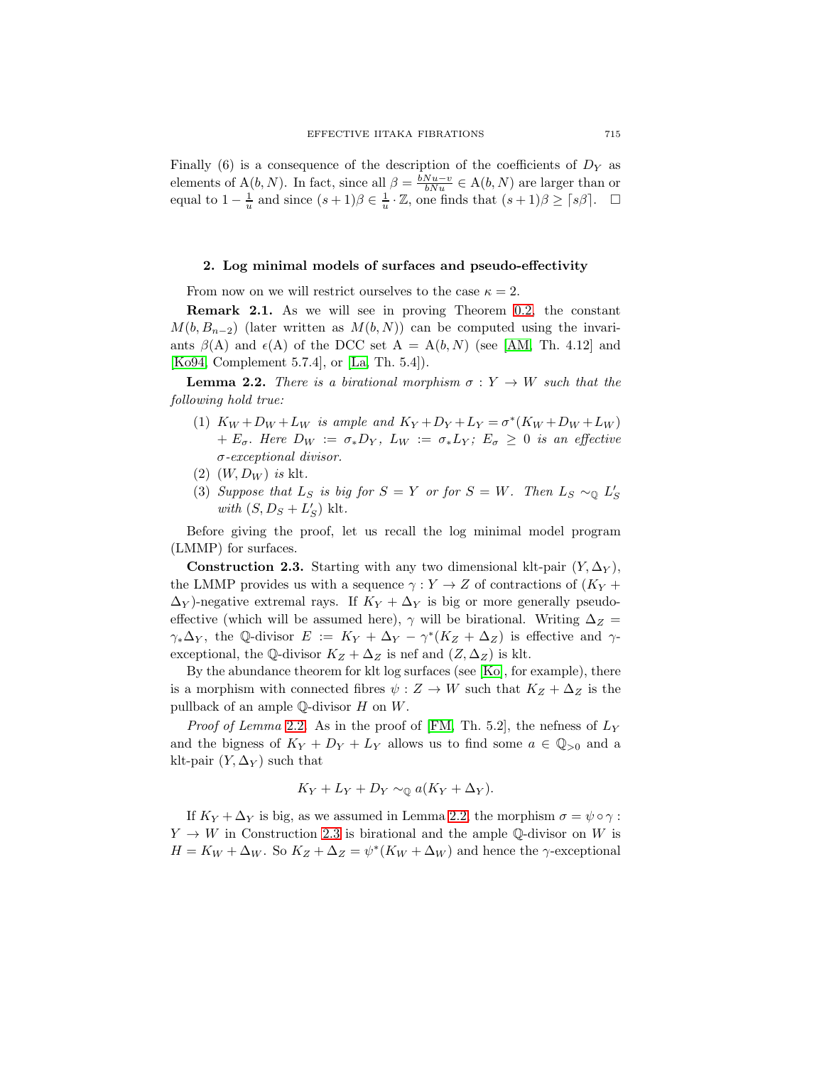Finally (6) is a consequence of the description of the coefficients of  $D<sub>Y</sub>$  as elements of  $A(b, N)$ . In fact, since all  $\beta = \frac{bNu - v}{bNu} \in A(b, N)$  are larger than or equal to  $1 - \frac{1}{u}$  and since  $(s+1)\beta \in \frac{1}{u} \cdot \mathbb{Z}$ , one finds that  $(s+1)\beta \geq \lceil s\beta \rceil$ .  $\Box$ 

## 2. Log minimal models of surfaces and pseudo-effectivity

From now on we will restrict ourselves to the case  $\kappa = 2$ .

<span id="page-4-0"></span>**Remark 2.1.** As we will see in proving Theorem [0.2,](#page-1-0) the constant  $M(b, B_{n-2})$  (later written as  $M(b, N)$ ) can be computed using the invariants  $\beta(A)$  and  $\epsilon(A)$  of the DCC set  $A = A(b, N)$  (see [\[AM,](#page-18-8) Th. 4.12] and [\[Ko94,](#page-18-5) Complement 5.7.4], or [\[La,](#page-18-9) Th. 5.4]).

<span id="page-4-1"></span>**Lemma 2.2.** There is a birational morphism  $\sigma : Y \to W$  such that the following hold true:

- (1)  $K_W + D_W + L_W$  is ample and  $K_Y + D_Y + L_Y = \sigma^* (K_W + D_W + L_W)$ +  $E_{\sigma}$ . Here  $D_W := \sigma_* D_Y$ ,  $L_W := \sigma_* L_Y$ ;  $E_{\sigma} \geq 0$  is an effective  $\sigma$ -exceptional divisor.
- $(2)$   $(W, D_W)$  is klt.
- (3) Suppose that  $L_S$  is big for  $S = Y$  or for  $S = W$ . Then  $L_S \sim_{\mathbb{Q}} L'_S$ with  $(S, D_S + L'_S)$  klt.

<span id="page-4-2"></span>Before giving the proof, let us recall the log minimal model program (LMMP) for surfaces.

**Construction 2.3.** Starting with any two dimensional klt-pair  $(Y, \Delta_Y)$ , the LMMP provides us with a sequence  $\gamma : Y \to Z$  of contractions of  $(K_Y +$  $\Delta_Y$ )-negative extremal rays. If  $K_Y + \Delta_Y$  is big or more generally pseudoeffective (which will be assumed here),  $\gamma$  will be birational. Writing  $\Delta_Z =$  $\gamma_*\Delta_Y$ , the Q-divisor  $E := K_Y + \Delta_Y - \gamma^*(K_Z + \Delta_Z)$  is effective and  $\gamma$ exceptional, the ℚ-divisor  $K_Z + \Delta_Z$  is nef and  $(Z, \Delta_Z)$  is klt.

By the abundance theorem for klt log surfaces (see [\[Ko\]](#page-18-10), for example), there is a morphism with connected fibres  $\psi : Z \to W$  such that  $K_Z + \Delta_Z$  is the pullback of an ample  $\mathbb Q$ -divisor  $H$  on  $W$ .

*Proof of Lemma* [2.2](#page-4-1). As in the proof of [\[FM,](#page-18-2) Th. 5.2], the nefness of  $L<sub>Y</sub>$ and the bigness of  $K_Y + D_Y + L_Y$  allows us to find some  $a \in \mathbb{Q}_{>0}$  and a klt-pair  $(Y, \Delta_Y)$  such that

$$
K_Y + L_Y + D_Y \sim_{\mathbb{Q}} a(K_Y + \Delta_Y).
$$

If  $K_Y + \Delta_Y$  is big, as we assumed in Lemma [2.2,](#page-4-1) the morphism  $\sigma = \psi \circ \gamma$ :  $Y \to W$  in Construction [2.3](#page-4-2) is birational and the ample Q-divisor on W is  $H = K_W + \Delta_W$ . So  $K_Z + \Delta_Z = \psi^*(K_W + \Delta_W)$  and hence the  $\gamma$ -exceptional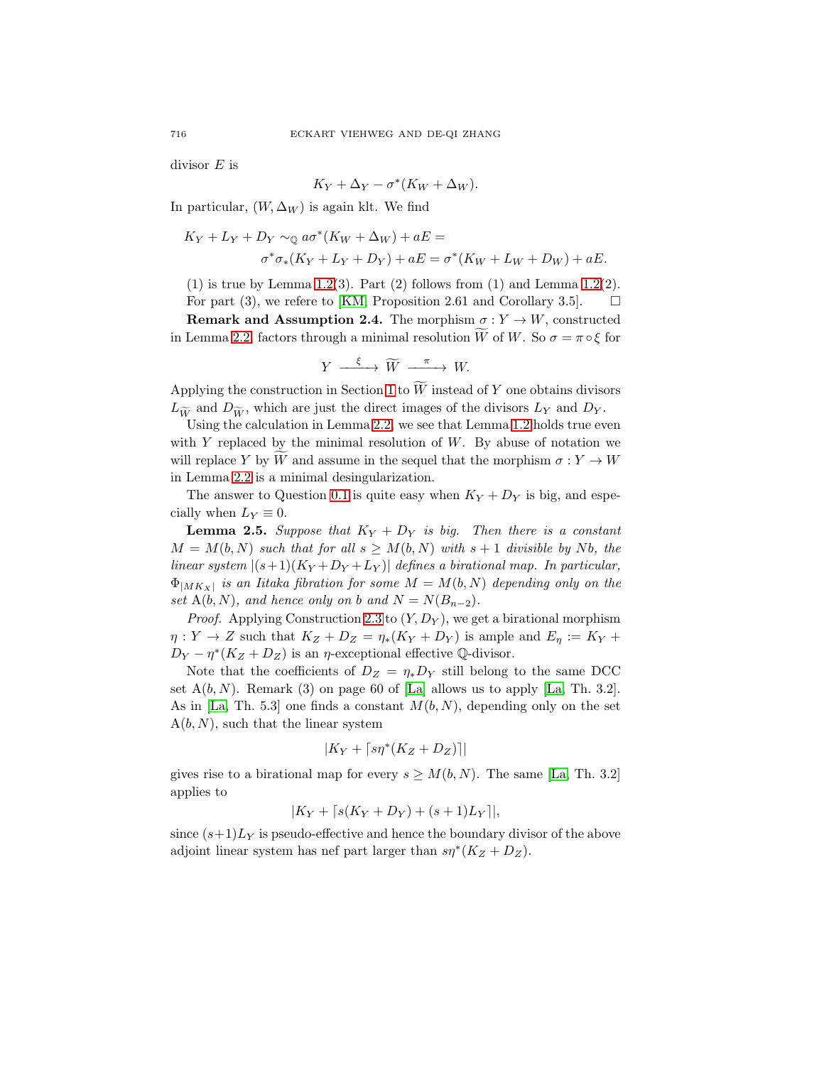divisor  $E$  is

$$
K_Y + \Delta_Y - \sigma^*(K_W + \Delta_W).
$$

In particular,  $(W, \Delta_W)$  is again klt. We find

$$
K_Y + L_Y + D_Y \sim_{\mathbb{Q}} a\sigma^*(K_W + \Delta_W) + aE =
$$
  

$$
\sigma^*\sigma_*(K_Y + L_Y + D_Y) + aE = \sigma^*(K_W + L_W + D_W) + aE.
$$

 $(1)$  is true by Lemma [1.2\(](#page-3-0)3). Part  $(2)$  follows from  $(1)$  and Lemma 1.2(2). For part (3), we refere to [\[KM,](#page-18-7) Proposition 2.61 and Corollary 3.5].  $\Box$ 

<span id="page-5-1"></span>**Remark and Assumption 2.4.** The morphism  $\sigma: Y \to W$ , constructed in Lemma [2.2,](#page-4-1) factors through a minimal resolution W of W. So  $\sigma = \pi \circ \xi$  for

$$
Y \xrightarrow{\xi} \widetilde{W} \xrightarrow{\pi} W.
$$

Applying the construction in Section [1](#page-2-0) to  $W$  instead of  $Y$  one obtains divisors  $L_{\widetilde{w}}$  and  $D_{\widetilde{w}}$ , which are just the direct images of the divisors  $L_Y$  and  $D_Y$ .

Using the calculation in Lemma [2.2,](#page-4-1) we see that Lemma [1.2](#page-3-0) holds true even with  $Y$  replaced by the minimal resolution of  $W$ . By abuse of notation we will replace Y by W and assume in the sequel that the morphism  $\sigma : Y \to W$ in Lemma [2.2](#page-4-1) is a minimal desingularization.

<span id="page-5-0"></span>The answer to Question [0.1](#page-0-0) is quite easy when  $K_Y + D_Y$  is big, and especially when  $L_Y \equiv 0$ .

**Lemma 2.5.** Suppose that  $K_Y + D_Y$  is big. Then there is a constant  $M = M(b, N)$  such that for all  $s \geq M(b, N)$  with  $s + 1$  divisible by Nb, the linear system  $|(s+1)(K_Y+D_Y+L_Y)|$  defines a birational map. In particular,  $\Phi_{|MK_X|}$  is an Iitaka fibration for some  $M = M(b, N)$  depending only on the set  $A(b, N)$ , and hence only on b and  $N = N(B_{n-2})$ .

*Proof.* Applying Construction [2.3](#page-4-2) to  $(Y, D_Y)$ , we get a birational morphism  $\eta: Y \to Z$  such that  $K_Z + D_Z = \eta_*(K_Y + D_Y)$  is ample and  $E_\eta := K_Y +$  $D_Y - \eta^*(K_Z + D_Z)$  is an  $\eta$ -exceptional effective Q-divisor.

Note that the coefficients of  $D_Z = \eta_* D_Y$  still belong to the same DCC set  $A(b, N)$ . Remark (3) on page 60 of [\[La\]](#page-18-9) allows us to apply [\[La,](#page-18-9) Th. 3.2]. As in [\[La,](#page-18-9) Th. 5.3] one finds a constant  $M(b, N)$ , depending only on the set  $A(b, N)$ , such that the linear system

$$
|K_Y + \lceil s\eta^*(K_Z + D_Z) \rceil|
$$

gives rise to a birational map for every  $s \geq M(b, N)$ . The same [\[La,](#page-18-9) Th. 3.2] applies to

$$
|K_Y + \lceil s(K_Y + D_Y) + (s+1)L_Y \rceil|,
$$

since  $(s+1)L_y$  is pseudo-effective and hence the boundary divisor of the above adjoint linear system has nef part larger than  $s\eta^*(K_Z + D_Z)$ .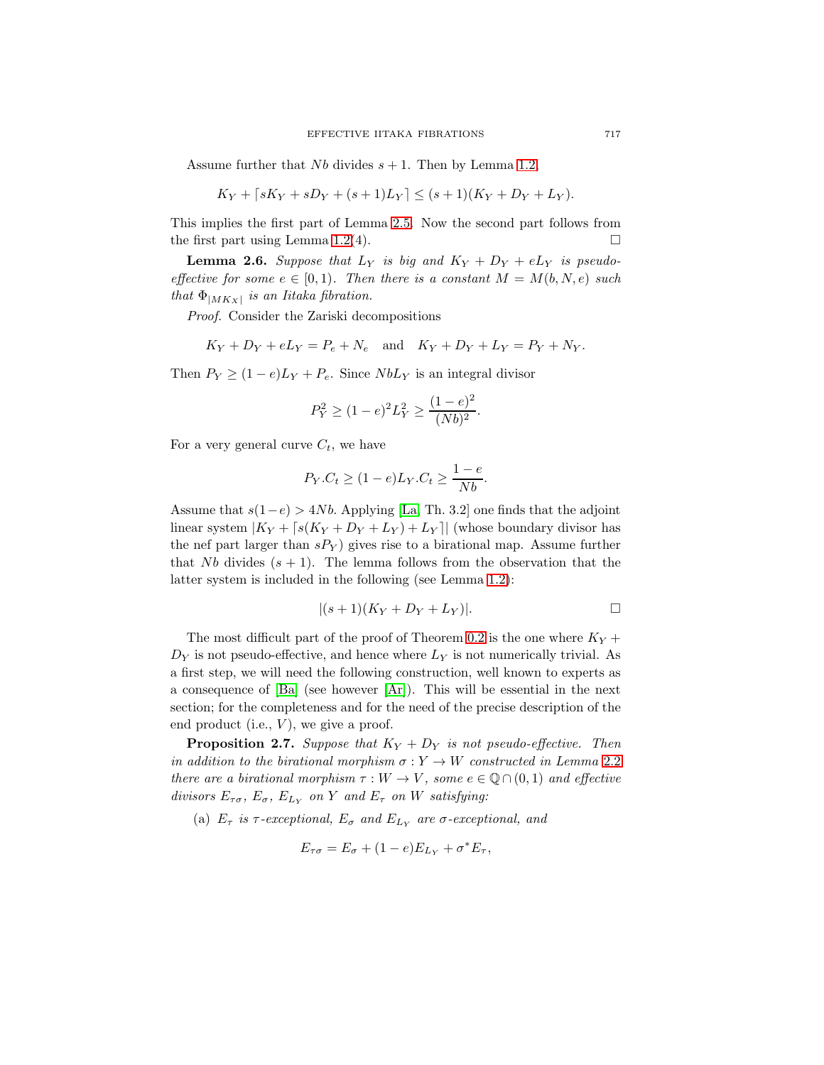Assume further that  $Nb$  divides  $s + 1$ . Then by Lemma [1.2,](#page-3-0)

$$
K_Y + [sK_Y + sD_Y + (s+1)L_Y] \le (s+1)(K_Y + D_Y + L_Y).
$$

This implies the first part of Lemma [2.5.](#page-5-0) Now the second part follows from the first part using Lemma [1.2\(](#page-3-0)4).  $\Box$ 

<span id="page-6-1"></span>**Lemma 2.6.** Suppose that  $L_Y$  is big and  $K_Y + D_Y + eL_Y$  is pseudoeffective for some  $e \in [0, 1)$ . Then there is a constant  $M = M(b, N, e)$  such that  $\Phi_{|MK_X|}$  is an Iitaka fibration.

Proof. Consider the Zariski decompositions

$$
K_Y + D_Y + eL_Y = P_e + N_e
$$
 and  $K_Y + D_Y + L_Y = P_Y + N_Y$ .

Then  $P_Y \ge (1 - e)L_Y + P_e$ . Since  $NbL_Y$  is an integral divisor

$$
P_Y^2 \ge (1 - e)^2 L_Y^2 \ge \frac{(1 - e)^2}{(Nb)^2}.
$$

For a very general curve  $C_t$ , we have

$$
P_Y.C_t \ge (1 - e)L_Y.C_t \ge \frac{1 - e}{Nb}.
$$

Assume that  $s(1-e) > 4Nb$ . Applying [\[La,](#page-18-9) Th. 3.2] one finds that the adjoint linear system  $|K_Y + [s(K_Y + D_Y + L_Y) + L_Y]|$  (whose boundary divisor has the nef part larger than  $sP_Y$ ) gives rise to a birational map. Assume further that Nb divides  $(s + 1)$ . The lemma follows from the observation that the latter system is included in the following (see Lemma [1.2\)](#page-3-0):

$$
|(s+1)(K_Y+D_Y+L_Y)|.\t\t\qquad \qquad \Box
$$

The most difficult part of the proof of Theorem [0.2](#page-1-0) is the one where  $K_Y$  +  $D<sub>Y</sub>$  is not pseudo-effective, and hence where  $L<sub>Y</sub>$  is not numerically trivial. As a first step, we will need the following construction, well known to experts as a consequence of  $[Ba]$  (see however  $[Ar]$ ). This will be essential in the next section; for the completeness and for the need of the precise description of the end product (i.e.,  $V$ ), we give a proof.

<span id="page-6-0"></span>**Proposition 2.7.** Suppose that  $K_Y + D_Y$  is not pseudo-effective. Then in addition to the birational morphism  $\sigma: Y \to W$  constructed in Lemma [2.2](#page-4-1) there are a birational morphism  $\tau : W \to V$ , some  $e \in \mathbb{Q} \cap (0,1)$  and effective divisors  $E_{\tau\sigma}$ ,  $E_{\sigma}$ ,  $E_{L_Y}$  on Y and  $E_{\tau}$  on W satisfying:

(a)  $E_{\tau}$  is  $\tau$ -exceptional,  $E_{\sigma}$  and  $E_{L_{Y}}$  are  $\sigma$ -exceptional, and

$$
E_{\tau\sigma} = E_{\sigma} + (1 - e)E_{L_Y} + \sigma^* E_{\tau},
$$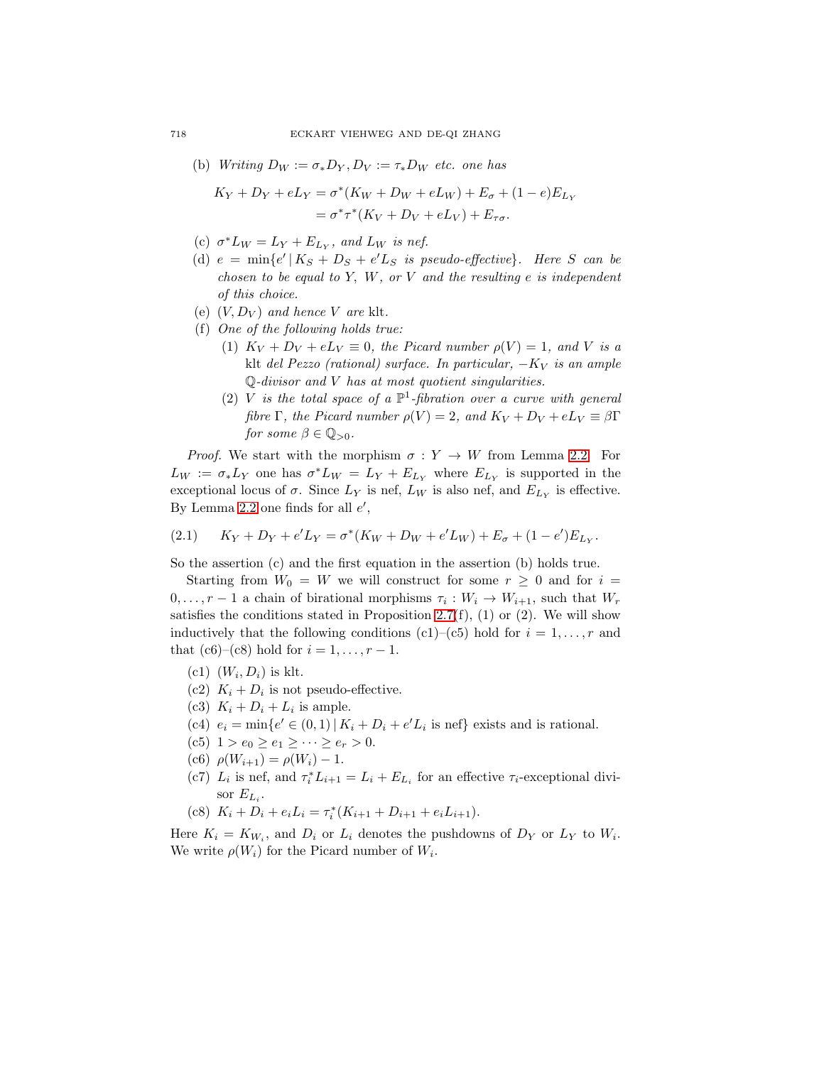(b) Writing  $D_W := \sigma_* D_Y, D_V := \tau_* D_W$  etc. one has

$$
K_Y + D_Y + eL_Y = \sigma^*(K_W + D_W + eL_W) + E_{\sigma} + (1 - e)E_{L_Y}
$$
  
=  $\sigma^* \tau^*(K_V + D_V + eL_V) + E_{\tau \sigma}$ .

- (c)  $\sigma^* L_W = L_Y + E_{L_Y}$ , and  $L_W$  is nef.
- (d)  $e = \min\{e' | K_S + D_S + e' L_S \text{ is pseudo-effective}\}.$  Here S can be chosen to be equal to Y, W, or V and the resulting  $e$  is independent of this choice.
- (e)  $(V, D_V)$  and hence V are klt.
- (f) One of the following holds true:
	- (1)  $K_V + D_V + eL_V \equiv 0$ , the Picard number  $\rho(V) = 1$ , and V is a klt del Pezzo (rational) surface. In particular,  $-K_V$  is an ample  $\mathbb{Q}$ -divisor and V has at most quotient singularities.
	- (2) V is the total space of a  $\mathbb{P}^1$ -fibration over a curve with general fibre Γ, the Picard number  $\rho(V)=2$ , and  $K_V + D_V + eL_V \equiv \beta \Gamma$ for some  $\beta \in \mathbb{Q}_{>0}$ .

*Proof.* We start with the morphism  $\sigma: Y \to W$  from Lemma [2.2.](#page-4-1) For  $L_W := \sigma_* L_Y$  one has  $\sigma^* L_W = L_Y + E_{L_Y}$  where  $E_{L_Y}$  is supported in the exceptional locus of  $\sigma$ . Since  $L_Y$  is nef,  $L_W$  is also nef, and  $E_{L_Y}$  is effective. By Lemma [2.2](#page-4-1) one finds for all  $e'$ ,

<span id="page-7-0"></span>(2.1) 
$$
K_Y + D_Y + e^{t}L_Y = \sigma^*(K_W + D_W + e^{t}L_W) + E_{\sigma} + (1 - e^{t})E_{L_Y}.
$$

So the assertion (c) and the first equation in the assertion (b) holds true.

Starting from  $W_0 = W$  we will construct for some  $r \geq 0$  and for  $i =$  $0, \ldots, r-1$  a chain of birational morphisms  $\tau_i : W_i \to W_{i+1}$ , such that  $W_r$ satisfies the conditions stated in Proposition [2.7\(](#page-6-0)f), (1) or (2). We will show inductively that the following conditions (c1)–(c5) hold for  $i = 1, \ldots, r$  and that (c6)–(c8) hold for  $i = 1, ..., r - 1$ .

- (c1)  $(W_i, D_i)$  is klt.
- (c2)  $K_i + D_i$  is not pseudo-effective.
- (c3)  $K_i + D_i + L_i$  is ample.
- (c4)  $e_i = \min\{e' \in (0,1) | K_i + D_i + e'L_i \text{ is nef}\}$  exists and is rational.
- (c5)  $1 > e_0 \ge e_1 \ge \cdots \ge e_r > 0$ .
- (c6)  $\rho(W_{i+1}) = \rho(W_i) 1.$
- (c7)  $L_i$  is nef, and  $\tau_i^* L_{i+1} = L_i + E_{L_i}$  for an effective  $\tau_i$ -exceptional divisor  $E_{Li}$ .
- (c8)  $K_i + D_i + e_i L_i = \tau_i^* (K_{i+1} + D_{i+1} + e_i L_{i+1}).$

Here  $K_i = K_{W_i}$ , and  $D_i$  or  $L_i$  denotes the pushdowns of  $D_Y$  or  $L_Y$  to  $W_i$ . We write  $\rho(W_i)$  for the Picard number of  $W_i$ .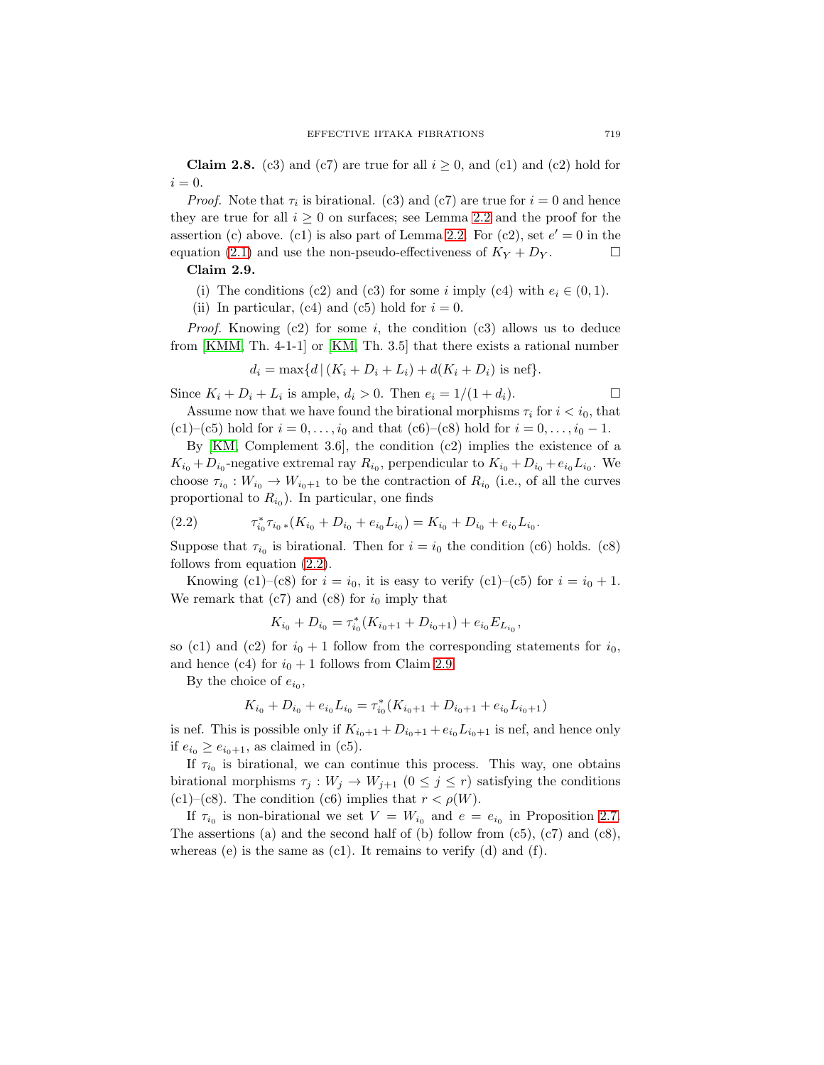**Claim 2.8.** (c3) and (c7) are true for all  $i \geq 0$ , and (c1) and (c2) hold for  $i = 0$ .

<span id="page-8-1"></span>*Proof.* Note that  $\tau_i$  is birational. (c3) and (c7) are true for  $i = 0$  and hence they are true for all  $i \geq 0$  on surfaces; see Lemma [2.2](#page-4-1) and the proof for the assertion (c) above. (c1) is also part of Lemma [2.2.](#page-4-1) For (c2), set  $e' = 0$  in the equation [\(2.1\)](#page-7-0) and use the non-pseudo-effectiveness of  $K_Y + D_Y$ .

## **Claim 2.9.**

- (i) The conditions (c2) and (c3) for some *i* imply (c4) with  $e_i \in (0, 1)$ .
- (ii) In particular, (c4) and (c5) hold for  $i = 0$ .

*Proof.* Knowing  $(c2)$  for some *i*, the condition  $(c3)$  allows us to deduce from [\[KMM,](#page-18-6) Th. 4-1-1] or [\[KM,](#page-18-7) Th. 3.5] that there exists a rational number

$$
d_i = \max\{d | (K_i + D_i + L_i) + d(K_i + D_i) \text{ is nef}\}.
$$

Since  $K_i + D_i + L_i$  is ample,  $d_i > 0$ . Then  $e_i = 1/(1 + d_i)$ .

Assume now that we have found the birational morphisms  $\tau_i$  for  $i < i_0$ , that (c1)–(c5) hold for  $i = 0, ..., i_0$  and that (c6)–(c8) hold for  $i = 0, ..., i_0 - 1$ .

By  $[KM,$  Complement 3.6, the condition  $(c2)$  implies the existence of a  $K_{i_0} + D_{i_0}$ -negative extremal ray  $R_{i_0}$ , perpendicular to  $K_{i_0} + D_{i_0} + e_{i_0} L_{i_0}$ . We choose  $\tau_{i_0} : W_{i_0} \to W_{i_0+1}$  to be the contraction of  $R_{i_0}$  (i.e., of all the curves proportional to  $R_{i_0}$ ). In particular, one finds

(2.2) 
$$
\tau_{i_0}^* \tau_{i_0} (K_{i_0} + D_{i_0} + e_{i_0} L_{i_0}) = K_{i_0} + D_{i_0} + e_{i_0} L_{i_0}.
$$

Suppose that  $\tau_{i_0}$  is birational. Then for  $i = i_0$  the condition (c6) holds. (c8) follows from equation [\(2.2\)](#page-8-0).

Knowing (c1)–(c8) for  $i = i_0$ , it is easy to verify (c1)–(c5) for  $i = i_0 + 1$ . We remark that  $(c7)$  and  $(c8)$  for  $i_0$  imply that

<span id="page-8-0"></span>
$$
K_{i_0} + D_{i_0} = \tau_{i_0}^* (K_{i_0+1} + D_{i_0+1}) + e_{i_0} E_{L_{i_0}},
$$

so (c1) and (c2) for  $i_0 + 1$  follow from the corresponding statements for  $i_0$ , and hence (c4) for  $i_0 + 1$  follows from Claim [2.9.](#page-8-1)

By the choice of  $e_{i_0}$ ,

$$
K_{i_0} + D_{i_0} + e_{i_0} L_{i_0} = \tau_{i_0}^* (K_{i_0+1} + D_{i_0+1} + e_{i_0} L_{i_0+1})
$$

is nef. This is possible only if  $K_{i_0+1} + D_{i_0+1} + e_{i_0} L_{i_0+1}$  is nef, and hence only if  $e_{i_0} \geq e_{i_0+1}$ , as claimed in (c5).

If  $\tau_{i_0}$  is birational, we can continue this process. This way, one obtains birational morphisms  $\tau_j: W_j \to W_{j+1}$   $(0 \leq j \leq r)$  satisfying the conditions (c1)–(c8). The condition (c6) implies that  $r < \rho(W)$ .

If  $\tau_{i_0}$  is non-birational we set  $V = W_{i_0}$  and  $e = e_{i_0}$  in Proposition [2.7.](#page-6-0) The assertions (a) and the second half of (b) follow from  $(c5)$ ,  $(c7)$  and  $(c8)$ , whereas (e) is the same as  $(c1)$ . It remains to verify  $(d)$  and  $(f)$ .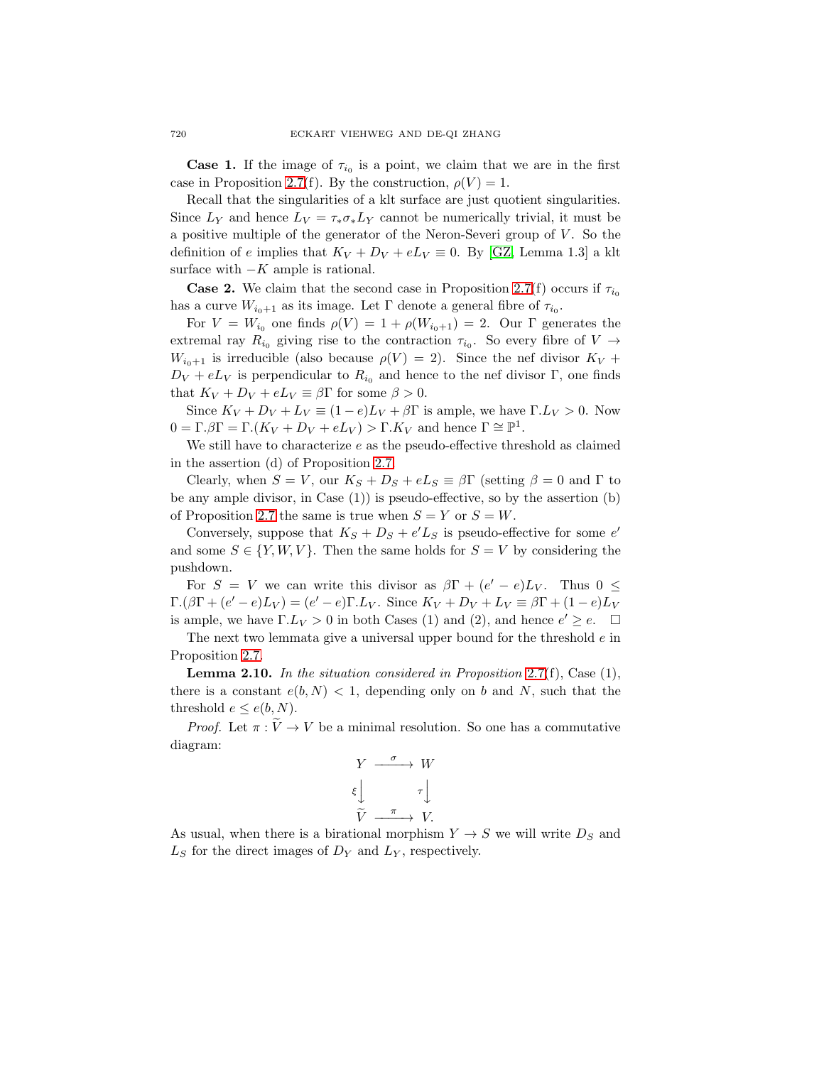**Case 1.** If the image of  $\tau_{i_0}$  is a point, we claim that we are in the first case in Proposition [2.7\(](#page-6-0)f). By the construction,  $\rho(V) = 1$ .

Recall that the singularities of a klt surface are just quotient singularities. Since  $L_Y$  and hence  $L_V = \tau_* \sigma_* L_Y$  cannot be numerically trivial, it must be a positive multiple of the generator of the Neron-Severi group of  $V$ . So the definition of e implies that  $K_V + D_V + eL_V \equiv 0$ . By [\[GZ,](#page-18-13) Lemma 1.3] a klt surface with  $-K$  ample is rational.

**Case 2.** We claim that the second case in Proposition [2.7\(](#page-6-0)f) occurs if  $\tau_{i_0}$ has a curve  $W_{i_0+1}$  as its image. Let  $\Gamma$  denote a general fibre of  $\tau_{i_0}$ .

For  $V = W_{i_0}$  one finds  $\rho(V) = 1 + \rho(W_{i_0+1}) = 2$ . Our  $\Gamma$  generates the extremal ray  $R_{i_0}$  giving rise to the contraction  $\tau_{i_0}$ . So every fibre of  $V \rightarrow$  $W_{i_0+1}$  is irreducible (also because  $\rho(V) = 2$ ). Since the nef divisor  $K_V$  +  $D_V + eL_V$  is perpendicular to  $R_{i_0}$  and hence to the nef divisor Γ, one finds that  $K_V + D_V + eL_V \equiv \beta \Gamma$  for some  $\beta > 0$ .

Since  $K_V + D_V + L_V \equiv (1 - e)L_V + \beta \Gamma$  is ample, we have  $\Gamma L_V > 0$ . Now  $0 = \Gamma \cdot \beta \Gamma = \Gamma \cdot (K_V + D_V + eL_V) > \Gamma \cdot K_V$  and hence  $\Gamma \cong \mathbb{P}^1$ .

We still have to characterize  $e$  as the pseudo-effective threshold as claimed in the assertion  $(d)$  of Proposition [2.7.](#page-6-0)

Clearly, when  $S = V$ , our  $K_S + D_S + eL_S \equiv \beta \Gamma$  (setting  $\beta = 0$  and  $\Gamma$  to be any ample divisor, in Case (1)) is pseudo-effective, so by the assertion (b) of Proposition [2.7](#page-6-0) the same is true when  $S = Y$  or  $S = W$ .

Conversely, suppose that  $K_S + D_S + e'L_S$  is pseudo-effective for some  $e'$ and some  $S \in \{Y, W, V\}$ . Then the same holds for  $S = V$  by considering the pushdown.

For  $S = V$  we can write this divisor as  $\beta \Gamma + (e' - e)L_V$ . Thus  $0 \leq$  $\Gamma.(\beta \Gamma + (e' - e)L_V) = (e' - e)\Gamma.L_V$ . Since  $K_V + D_V + L_V \equiv \beta \Gamma + (1 - e)L_V$ is ample, we have  $\Gamma L_V > 0$  in both Cases (1) and (2), and hence  $e' \ge e$ .  $\Box$ 

The next two lemmata give a universal upper bound for the threshold  $e$  in Proposition [2.7.](#page-6-0)

<span id="page-9-0"></span>**Lemma 2.10.** In the situation considered in Proposition [2.7\(](#page-6-0)f), Case  $(1)$ , there is a constant  $e(b, N) < 1$ , depending only on b and N, such that the threshold  $e \leq e(b, N)$ .

*Proof.* Let  $\pi : \tilde{V} \to V$  be a minimal resolution. So one has a commutative diagram:

$$
\begin{array}{ccc}\nY & \xrightarrow{\sigma} & W \\
\xi & & \tau & \\
\widetilde{V} & \xrightarrow{\pi} & V.\n\end{array}
$$

As usual, when there is a birational morphism  $Y \to S$  we will write  $D_S$  and  $L<sub>S</sub>$  for the direct images of  $D<sub>Y</sub>$  and  $L<sub>Y</sub>$ , respectively.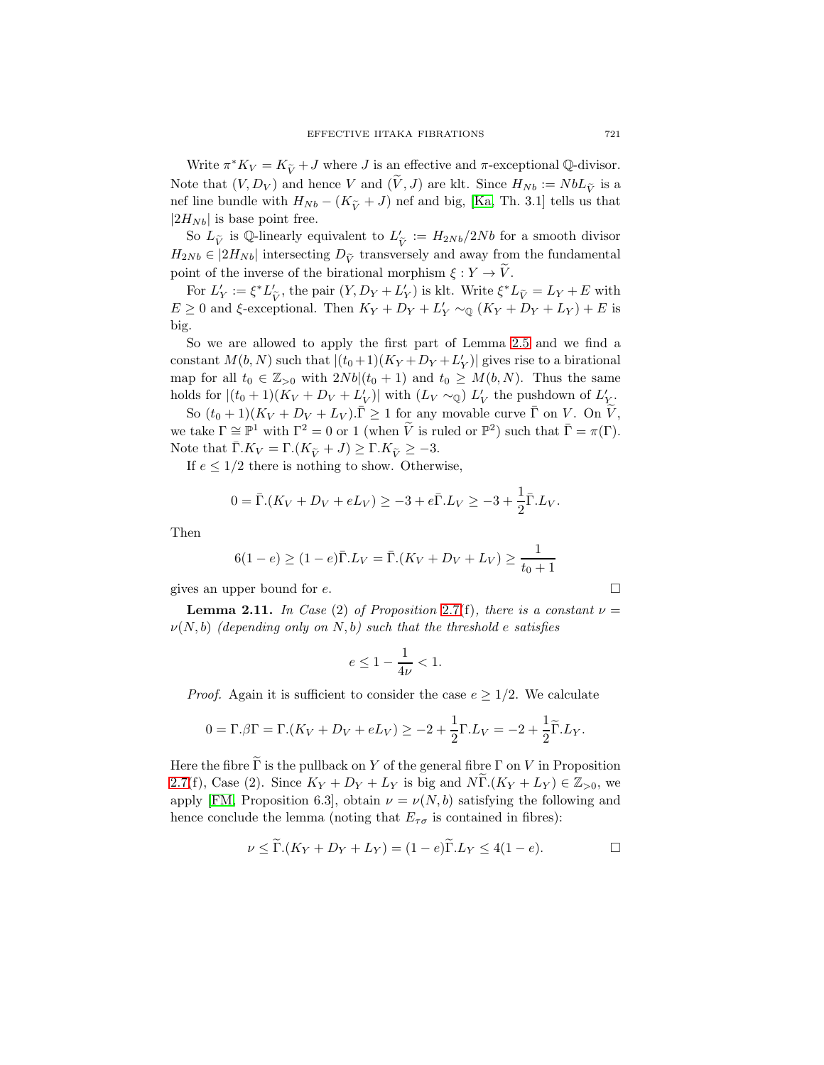Write  $\pi^* K_V = K_{\tilde{V}} + J$  where J is an effective and  $\pi$ -exceptional Q-divisor. Note that  $(V, D_V)$  and hence V and  $(\widetilde{V}, J)$  are klt. Since  $H_{Nb} := NbL_{\widetilde{V}}$  is a nef line bundle with  $H_{Nb} - (K_{\tilde{V}} + J)$  nef and big, [\[Ka,](#page-18-14) Th. 3.1] tells us that  $|2H_{Nb}|$  is base point free.

So  $L_{\tilde{V}}$  is Q-linearly equivalent to  $L'_{\tilde{V}} := H_{2Nb}/2Nb$  for a smooth divisor  $H_{2Nb} \in |2H_{Nb}|$  intersecting  $D_{\tilde{V}}$  transversely and away from the fundamental point of the inverse of the birational morphism  $\xi : Y \to V$ .

For  $L'_Y := \xi^* L'_{\tilde{V}}$ , the pair  $(Y, D_Y + L'_Y)$  is klt. Write  $\xi^* L_{\tilde{V}} = L_Y + E$  with  $E \ge 0$  and  $\xi$ -exceptional. Then  $K_Y + D_Y + L'_Y \sim_{\mathbb{Q}} (K_Y + D_Y + L_Y) + E$  is big.

So we are allowed to apply the first part of Lemma [2.5](#page-5-0) and we find a constant  $M(b, N)$  such that  $|(t_0+1)(K_Y+D_Y+L'_Y)|$  gives rise to a birational map for all  $t_0 \in \mathbb{Z}_{>0}$  with  $2Nb|(t_0 + 1)$  and  $t_0 \geq M(b, N)$ . Thus the same holds for  $|(t_0+1)(K_V+D_V+L'_V)|$  with  $(L_V \sim_{\mathbb{Q}}) L'_V$  the pushdown of  $L'_Y$ .

So  $(t_0 + 1)(K_V + D_V + L_V) \cdot \bar{\Gamma} \ge 1$  for any movable curve  $\bar{\Gamma}$  on V. On  $\tilde{V}$ , we take  $\Gamma \cong \mathbb{P}^1$  with  $\Gamma^2 = 0$  or 1 (when  $\widetilde{V}$  is ruled or  $\mathbb{P}^2$ ) such that  $\overline{\Gamma} = \pi(\Gamma)$ . Note that  $\overline{\Gamma}$ . $K_V = \Gamma$ . $(K_{\widetilde{V}} + J) \geq \Gamma$ . $K_{\widetilde{V}} \geq -3$ .

If  $e \leq 1/2$  there is nothing to show. Otherwise,

$$
0 = \bar{\Gamma}(K_V + D_V + eL_V) \ge -3 + e\bar{\Gamma}L_V \ge -3 + \frac{1}{2}\bar{\Gamma}L_V.
$$

Then

$$
6(1 - e) \ge (1 - e)\bar{\Gamma}L_V = \bar{\Gamma}\left(K_V + D_V + L_V\right) \ge \frac{1}{t_0 + 1}
$$

<span id="page-10-0"></span>gives an upper bound for  $e$ .  $\Box$ 

**Lemma 2.11.** In Case (2) of Proposition [2.7\(](#page-6-0)f), there is a constant  $\nu =$  $\nu(N, b)$  (depending only on N, b) such that the threshold e satisfies

$$
e \le 1 - \frac{1}{4\nu} < 1.
$$

*Proof.* Again it is sufficient to consider the case  $e \geq 1/2$ . We calculate

$$
0 = \Gamma \beta \Gamma = \Gamma \left( K_V + D_V + eL_V \right) \ge -2 + \frac{1}{2} \Gamma \cdot L_V = -2 + \frac{1}{2} \widetilde{\Gamma} \cdot L_V.
$$

Here the fibre  $\widetilde{\Gamma}$  is the pullback on Y of the general fibre  $\Gamma$  on V in Proposition [2.7\(](#page-6-0)f), Case (2). Since  $K_Y + D_Y + L_Y$  is big and  $N\Gamma$ . $(K_Y + L_Y) \in \mathbb{Z}_{>0}$ , we apply [\[FM,](#page-18-2) Proposition 6.3], obtain  $\nu = \nu(N, b)$  satisfying the following and hence conclude the lemma (noting that  $E_{\tau\sigma}$  is contained in fibres):

$$
\nu \leq \tilde{\Gamma} \cdot (K_Y + D_Y + L_Y) = (1 - e)\tilde{\Gamma} \cdot L_Y \leq 4(1 - e).
$$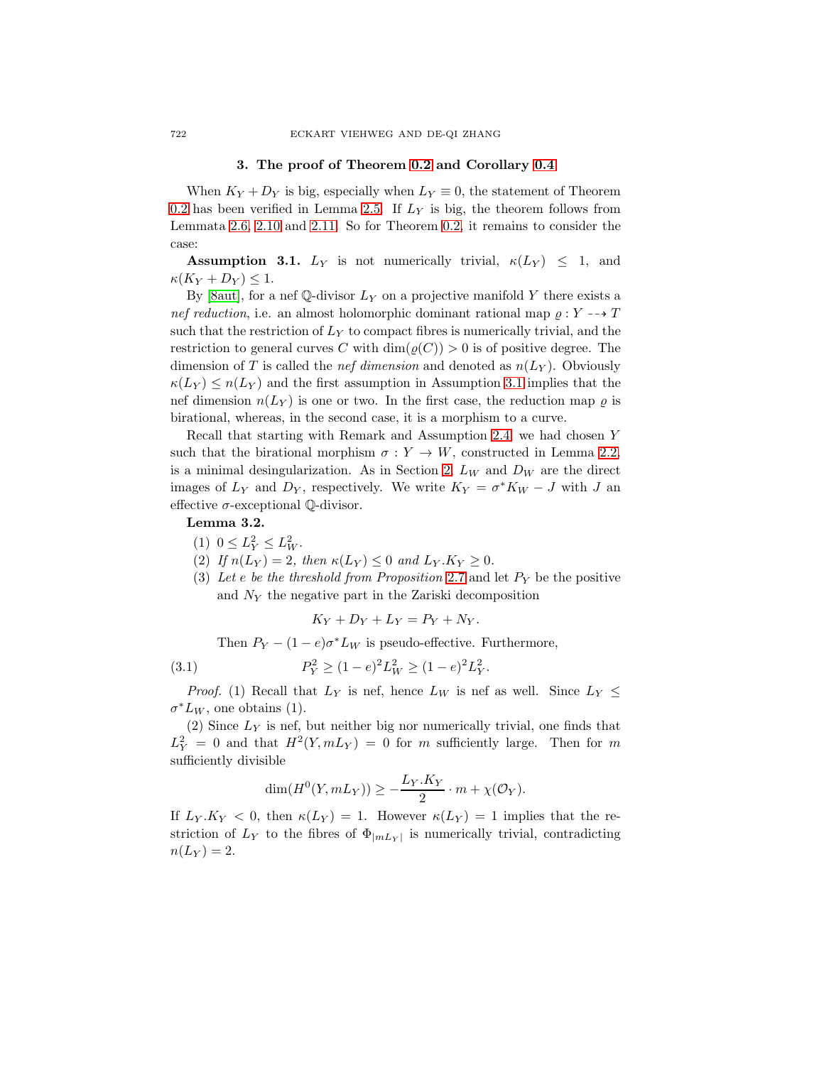#### **3.** The proof of Theorem [0.2](#page-1-0) and Corollary [0.4](#page-2-1)

<span id="page-11-0"></span>When  $K_Y + D_Y$  is big, especially when  $L_Y \equiv 0$ , the statement of Theorem [0.2](#page-1-0) has been verified in Lemma [2.5.](#page-5-0) If  $L<sub>Y</sub>$  is big, the theorem follows from Lemmata [2.6,](#page-6-1) [2.10](#page-9-0) and [2.11.](#page-10-0) So for Theorem [0.2,](#page-1-0) it remains to consider the case:

<span id="page-11-1"></span>**Assumption 3.1.**  $L_Y$  is not numerically trivial,  $\kappa(L_Y) \leq 1$ , and  $\kappa (K_Y + D_Y) \leq 1.$ 

By [\[8aut\]](#page-18-15), for a nef Q-divisor  $L_Y$  on a projective manifold Y there exists a nef reduction, i.e. an almost holomorphic dominant rational map  $\rho: Y \dashrightarrow T$ such that the restriction of  $L<sub>Y</sub>$  to compact fibres is numerically trivial, and the restriction to general curves C with  $\dim(\varrho(C)) > 0$  is of positive degree. The dimension of T is called the *nef dimension* and denoted as  $n(L_Y)$ . Obviously  $\kappa(L_Y) \leq n(L_Y)$  and the first assumption in Assumption [3.1](#page-11-1) implies that the nef dimension  $n(L_Y)$  is one or two. In the first case, the reduction map  $\rho$  is birational, whereas, in the second case, it is a morphism to a curve.

Recall that starting with Remark and Assumption [2.4,](#page-5-1) we had chosen such that the birational morphism  $\sigma : Y \to W$ , constructed in Lemma [2.2,](#page-4-1) is a minimal desingularization. As in Section [2,](#page-4-0)  $L_W$  and  $D_W$  are the direct images of  $L_Y$  and  $D_Y$ , respectively. We write  $K_Y = \sigma^* K_W - J$  with J an effective  $\sigma$ -exceptional  $\mathbb{Q}$ -divisor.

## <span id="page-11-3"></span>**Lemma 3.2.**

- (1)  $0 \leq L_Y^2 \leq L_W^2$ .
- (2) If  $n(L_Y)=2$ , then  $\kappa(L_Y)\leq 0$  and  $L_Y.K_Y\geq 0$ .
- (3) Let e be the threshold from Proposition [2.7](#page-6-0) and let  $P_Y$  be the positive and  $N_Y$  the negative part in the Zariski decomposition

<span id="page-11-2"></span>
$$
K_Y + D_Y + L_Y = P_Y + N_Y.
$$

Then  $P_Y - (1 - e)\sigma^* L_W$  is pseudo-effective. Furthermore,

(3.1) 
$$
P_Y^2 \ge (1 - e)^2 L_W^2 \ge (1 - e)^2 L_Y^2.
$$

*Proof.* (1) Recall that  $L_Y$  is nef, hence  $L_W$  is nef as well. Since  $L_Y \leq$  $\sigma^* L_W$ , one obtains (1).

(2) Since  $L_Y$  is nef, but neither big nor numerically trivial, one finds that  $L_Y^2 = 0$  and that  $H^2(Y, mL_Y) = 0$  for m sufficiently large. Then for m sufficiently divisible

$$
\dim(H^0(Y, mL_Y)) \ge -\frac{L_Y.K_Y}{2} \cdot m + \chi(\mathcal{O}_Y).
$$

If  $L_Y.K_Y < 0$ , then  $\kappa(L_Y) = 1$ . However  $\kappa(L_Y) = 1$  implies that the restriction of  $L_Y$  to the fibres of  $\Phi_{|mL_Y|}$  is numerically trivial, contradicting  $n(L_Y) = 2.$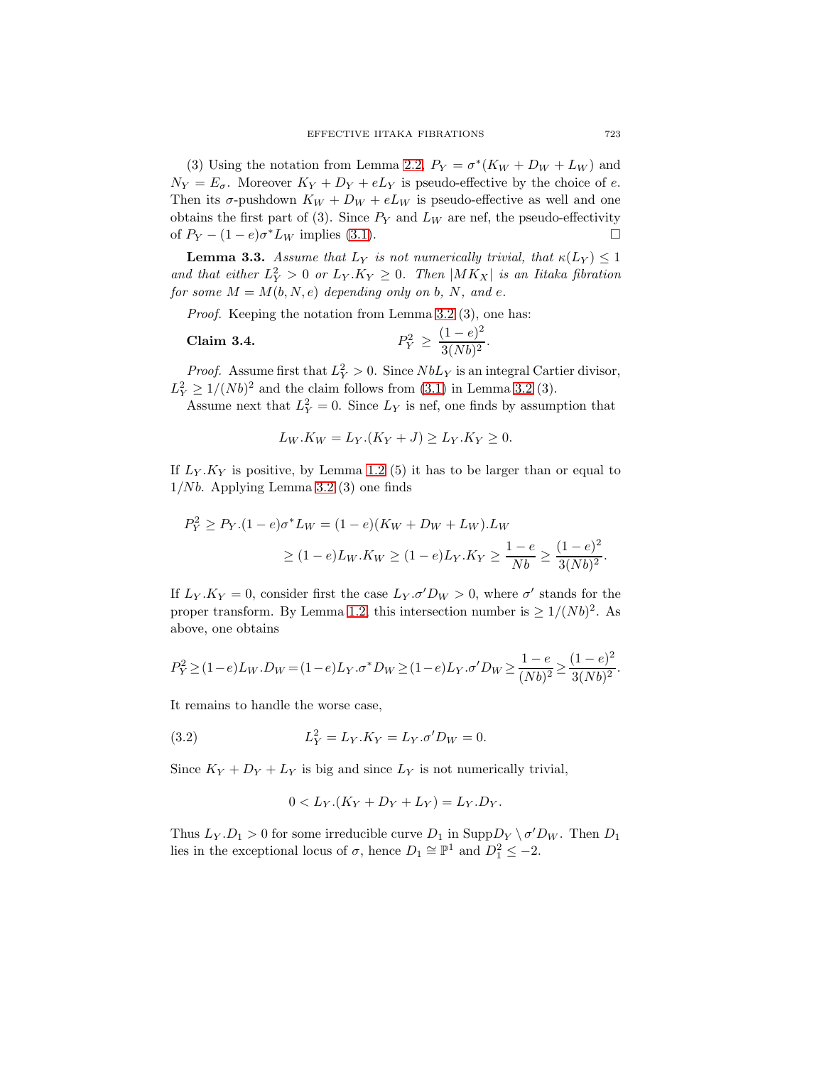(3) Using the notation from Lemma [2.2,](#page-4-1)  $P_Y = \sigma^*(K_W + D_W + L_W)$  and  $N_Y = E_{\sigma}$ . Moreover  $K_Y + D_Y + eL_Y$  is pseudo-effective by the choice of e. Then its  $\sigma$ -pushdown  $K_W + D_W + eL_W$  is pseudo-effective as well and one obtains the first part of (3). Since  $P_Y$  and  $L_W$  are nef, the pseudo-effectivity of  $P_Y - (1 - e)\sigma^* L_W$  implies [\(3.1\)](#page-11-2).

<span id="page-12-0"></span>**Lemma 3.3.** Assume that  $L_Y$  is not numerically trivial, that  $\kappa(L_Y) \leq 1$ and that either  $L_Y^2 > 0$  or  $L_Y.K_Y \geq 0$ . Then  $|MK_X|$  is an Iitaka fibration for some  $M = M(b, N, e)$  depending only on b, N, and e.

Proof. Keeping the notation from Lemma [3.2](#page-11-3) (3), one has:

**Claim 3.4.** 
$$
P_Y^2 \ge \frac{(1-e)^2}{3(Nb)^2}
$$
.

<span id="page-12-1"></span>*Proof.* Assume first that  $L_Y^2 > 0$ . Since  $NbL_Y$  is an integral Cartier divisor,  $L_Y^2 \ge 1/(Nb)^2$  and the claim follows from [\(3.1\)](#page-11-2) in Lemma [3.2](#page-11-3) (3).

Assume next that  $L_Y^2 = 0$ . Since  $L_Y$  is nef, one finds by assumption that

$$
L_W.K_W = L_Y.(K_Y + J) \ge L_Y.K_Y \ge 0.
$$

If  $L_Y.K_Y$  is positive, by Lemma [1.2](#page-3-0) (5) it has to be larger than or equal to  $1/Nb$ . Applying Lemma [3.2](#page-11-3) (3) one finds

$$
P_Y^2 \ge P_Y.(1 - e)\sigma^* L_W = (1 - e)(K_W + D_W + L_W).L_W
$$
  
 
$$
\ge (1 - e)L_W.K_W \ge (1 - e)L_Y.K_Y \ge \frac{1 - e}{Nb} \ge \frac{(1 - e)^2}{3(Nb)^2}.
$$

If  $L_Y.K_Y = 0$ , consider first the case  $L_Y.\sigma' D_W > 0$ , where  $\sigma'$  stands for the proper transform. By Lemma [1.2,](#page-3-0) this intersection number is  $\geq 1/(Nb)^2$ . As above, one obtains

$$
P_Y^2 \geq (1-e) L_W . D_W = (1-e) L_Y . \sigma^*D_W \geq (1-e) L_Y . \sigma'D_W \geq \frac{1-e}{(Nb)^2} \geq \frac{(1-e)^2}{3(Nb)^2}.
$$

It remains to handle the worse case,

(3.2) 
$$
L_Y^2 = L_Y.K_Y = L_Y.\sigma'D_W = 0.
$$

Since  $K_Y + D_Y + L_Y$  is big and since  $L_Y$  is not numerically trivial,

<span id="page-12-2"></span>
$$
0 < L_Y.(K_Y + D_Y + L_Y) = L_Y.D_Y.
$$

Thus  $L_Y.D_1 > 0$  for some irreducible curve  $D_1$  in  $\text{Supp} D_Y \setminus \sigma' D_W$ . Then  $D_1$ lies in the exceptional locus of  $\sigma$ , hence  $D_1 \cong \mathbb{P}^1$  and  $D_1^2 \le -2$ .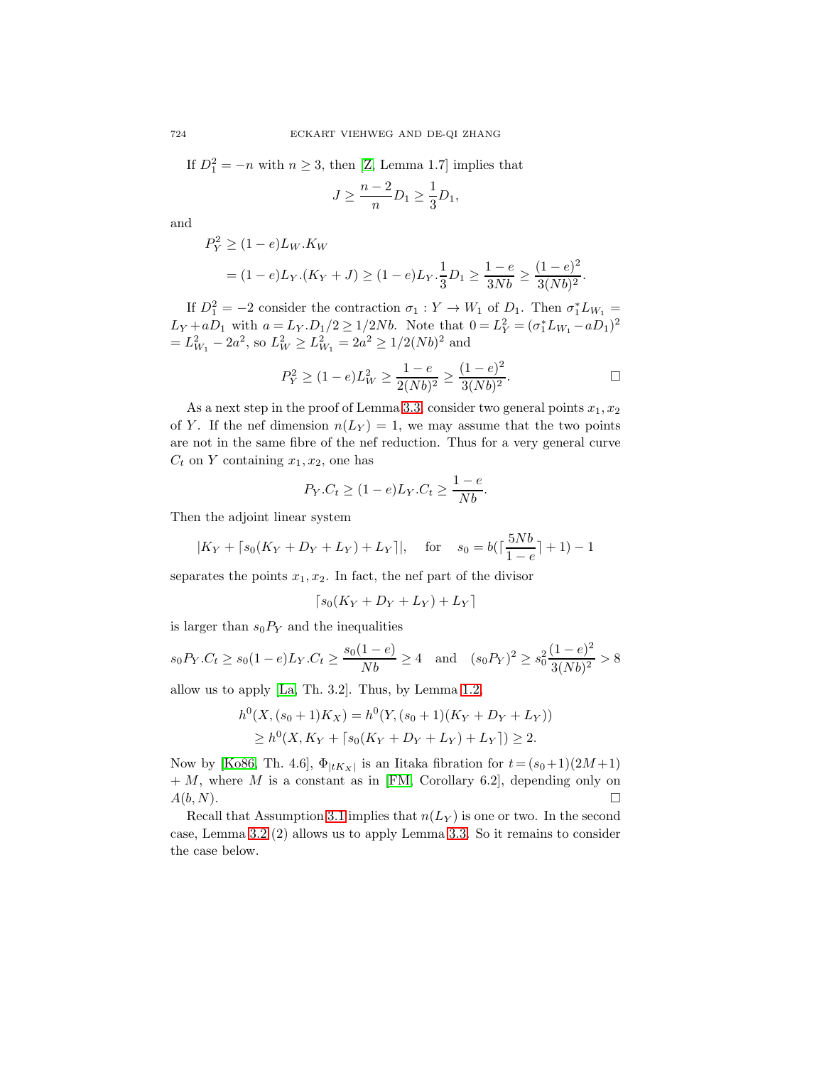If  $D_1^2 = -n$  with  $n \ge 3$ , then [\[Z,](#page-19-3) Lemma 1.7] implies that

$$
J \ge \frac{n-2}{n} D_1 \ge \frac{1}{3} D_1,
$$

and

$$
P_Y^2 \ge (1 - e)L_W.K_W
$$
  
=  $(1 - e)L_Y.(K_Y + J) \ge (1 - e)L_Y.\frac{1}{3}D_1 \ge \frac{1 - e}{3Nb} \ge \frac{(1 - e)^2}{3(Nb)^2}.$ 

If  $D_1^2 = -2$  consider the contraction  $\sigma_1 : Y \to W_1$  of  $D_1$ . Then  $\sigma_1^* L_{W_1} =$  $L_Y + aD_1$  with  $a = L_Y.D_1/2 \ge 1/2Nb$ . Note that  $0 = L_Y^2 = (\sigma_1^* L_{W_1} - aD_1)^2$  $=L_{W_1}^2-2a^2$ , so  $L_W^2 \ge L_{W_1}^2 = 2a^2 \ge 1/2(Nb)^2$  and

$$
P_Y^2 \ge (1 - e)L_W^2 \ge \frac{1 - e}{2(Nb)^2} \ge \frac{(1 - e)^2}{3(Nb)^2}.
$$

As a next step in the proof of Lemma [3.3,](#page-12-0) consider two general points  $x_1, x_2$ of Y. If the nef dimension  $n(L_Y) = 1$ , we may assume that the two points are not in the same fibre of the nef reduction. Thus for a very general curve  $C_t$  on Y containing  $x_1, x_2$ , one has

$$
P_Y.C_t \ge (1 - e)L_Y.C_t \ge \frac{1 - e}{Nb}.
$$

Then the adjoint linear system

$$
|K_Y + [s_0(K_Y + D_Y + L_Y) + L_Y]|
$$
, for  $s_0 = b(\lceil \frac{5Nb}{1-e} \rceil + 1) - 1$ 

separates the points  $x_1, x_2$ . In fact, the nef part of the divisor

$$
\lceil s_0(K_Y+D_Y+L_Y)+L_Y\rceil
$$

is larger than  $s_0 P_Y$  and the inequalities

$$
s_0 P_Y.C_t \ge s_0 (1 - e)L_Y.C_t \ge \frac{s_0 (1 - e)}{Nb} \ge 4
$$
 and  $(s_0 P_Y)^2 \ge s_0^2 \frac{(1 - e)^2}{3(Nb)^2} > 8$ 

allow us to apply [\[La,](#page-18-9) Th. 3.2]. Thus, by Lemma [1.2,](#page-3-0)

$$
h^{0}(X,(s_{0}+1)K_{X}) = h^{0}(Y,(s_{0}+1)(K_{Y}+D_{Y}+L_{Y}))
$$
  
\n
$$
\geq h^{0}(X,K_{Y} + [s_{0}(K_{Y}+D_{Y}+L_{Y})+L_{Y}]) \geq 2.
$$

Now by [\[Ko86,](#page-18-1) Th. 4.6],  $\Phi_{|tK_X|}$  is an Iitaka fibration for  $t = (s_0+1)(2M+1)$  $+ M$ , where M is a constant as in [\[FM,](#page-18-2) Corollary 6.2], depending only on  $A(b, N)$ .

<span id="page-13-0"></span>Recall that Assumption [3.1](#page-11-1) implies that  $n(L_Y)$  is one or two. In the second case, Lemma [3.2](#page-11-3) (2) allows us to apply Lemma [3.3.](#page-12-0) So it remains to consider the case below.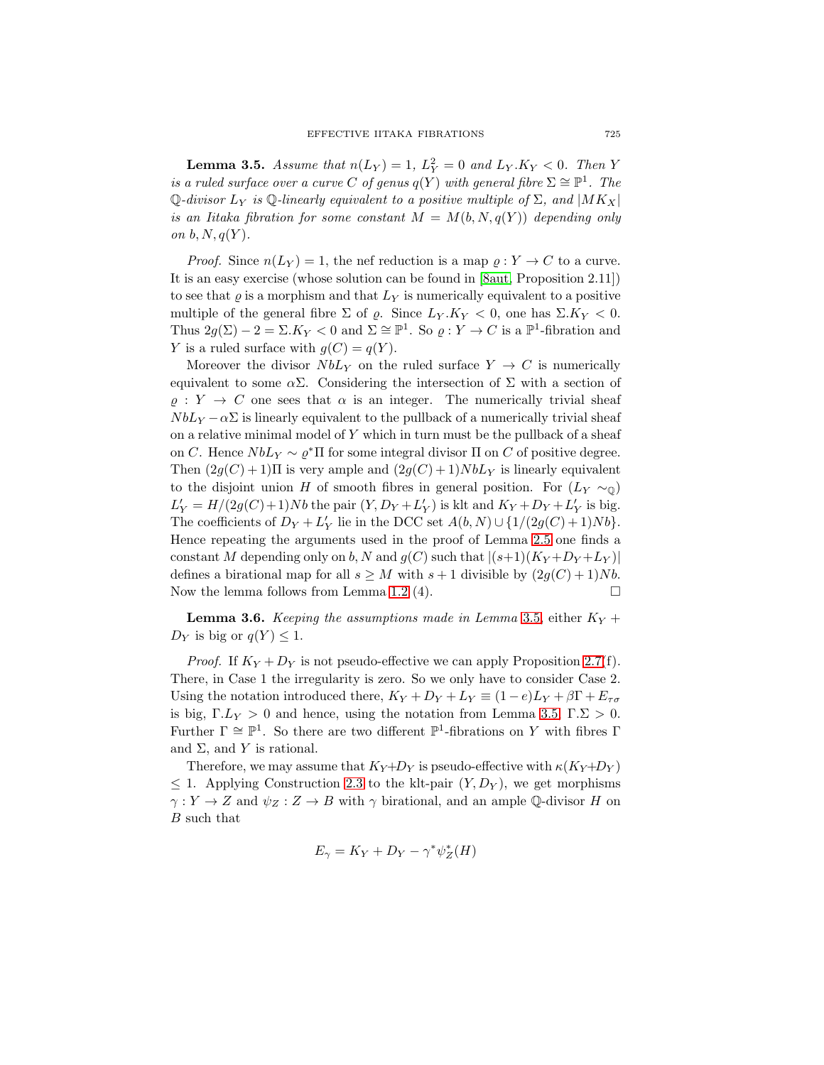**Lemma 3.5.** Assume that  $n(L_Y) = 1$ ,  $L_Y^2 = 0$  and  $L_Y.K_Y < 0$ . Then Y is a ruled surface over a curve C of genus  $q(Y)$  with general fibre  $\Sigma \cong \mathbb{P}^1$ . The  $\mathbb{Q}$ -divisor  $L_Y$  is  $\mathbb{Q}$ -linearly equivalent to a positive multiple of  $\Sigma$ , and  $|MK_X|$ is an Iitaka fibration for some constant  $M = M(b, N, q(Y))$  depending only on  $b, N, q(Y)$ .

*Proof.* Since  $n(L_Y) = 1$ , the nef reduction is a map  $\rho : Y \to C$  to a curve. It is an easy exercise (whose solution can be found in [\[8aut,](#page-18-15) Proposition 2.11]) to see that  $\varrho$  is a morphism and that  $L_Y$  is numerically equivalent to a positive multiple of the general fibre  $\Sigma$  of  $\rho$ . Since  $L_Y.K_Y < 0$ , one has  $\Sigma.K_Y < 0$ . Thus  $2g(\Sigma) - 2 = \Sigma.K_Y < 0$  and  $\Sigma \cong \mathbb{P}^1$ . So  $\varrho: Y \to C$  is a  $\mathbb{P}^1$ -fibration and Y is a ruled surface with  $g(C) = q(Y)$ .

Moreover the divisor  $NbL<sub>Y</sub>$  on the ruled surface  $Y \rightarrow C$  is numerically equivalent to some  $\alpha \Sigma$ . Considering the intersection of  $\Sigma$  with a section of  $\rho: Y \to C$  one sees that  $\alpha$  is an integer. The numerically trivial sheaf  $NbLy - \alpha\Sigma$  is linearly equivalent to the pullback of a numerically trivial sheaf on a relative minimal model of  $Y$  which in turn must be the pullback of a sheaf on C. Hence  $NbL_Y \sim \varrho^* \Pi$  for some integral divisor  $\Pi$  on C of positive degree. Then  $(2g(C) + 1)\Pi$  is very ample and  $(2g(C) + 1)NbL_Y$  is linearly equivalent to the disjoint union H of smooth fibres in general position. For  $(L_Y \sim_0)$  $L'_Y = H/(2g(C)+1)Nb$  the pair  $(Y, D_Y + L'_Y)$  is klt and  $K_Y + D_Y + L'_Y$  is big. The coefficients of  $D_Y + L'_Y$  lie in the DCC set  $A(b, N) \cup \{1/(2g(C) + 1)Nb\}.$ Hence repeating the arguments used in the proof of Lemma [2.5](#page-5-0) one finds a constant M depending only on b, N and  $g(C)$  such that  $|(s+1)(K_Y+D_Y+L_Y)|$ defines a birational map for all  $s \geq M$  with  $s+1$  divisible by  $(2g(C)+1)Nb$ . Now the lemma follows from Lemma [1.2](#page-3-0) (4).  $\Box$ 

<span id="page-14-0"></span>**Lemma 3.6.** Keeping the assumptions made in Lemma [3.5,](#page-13-0) either  $K_Y$  +  $D_Y$  is big or  $q(Y) \leq 1$ .

*Proof.* If  $K_Y + D_Y$  is not pseudo-effective we can apply Proposition [2.7\(](#page-6-0)f). There, in Case 1 the irregularity is zero. So we only have to consider Case 2. Using the notation introduced there,  $K_Y + D_Y + L_Y \equiv (1 - e)L_Y + \beta \Gamma + E_{\tau\sigma}$ is big,  $\Gamma L_Y > 0$  and hence, using the notation from Lemma [3.5,](#page-13-0)  $\Gamma \Sigma > 0$ . Further  $\Gamma \cong \mathbb{P}^1$ . So there are two different  $\mathbb{P}^1$ -fibrations on Y with fibres  $\Gamma$ and  $\Sigma$ , and Y is rational.

Therefore, we may assume that  $K_Y+D_Y$  is pseudo-effective with  $\kappa(K_Y+D_Y)$  $\leq$  1. Applying Construction [2.3](#page-4-2) to the klt-pair  $(Y, D_Y)$ , we get morphisms  $\gamma: Y \to Z$  and  $\psi_Z: Z \to B$  with  $\gamma$  birational, and an ample Q-divisor H on B such that

$$
E_{\gamma} = K_Y + D_Y - \gamma^* \psi_Z^*(H)
$$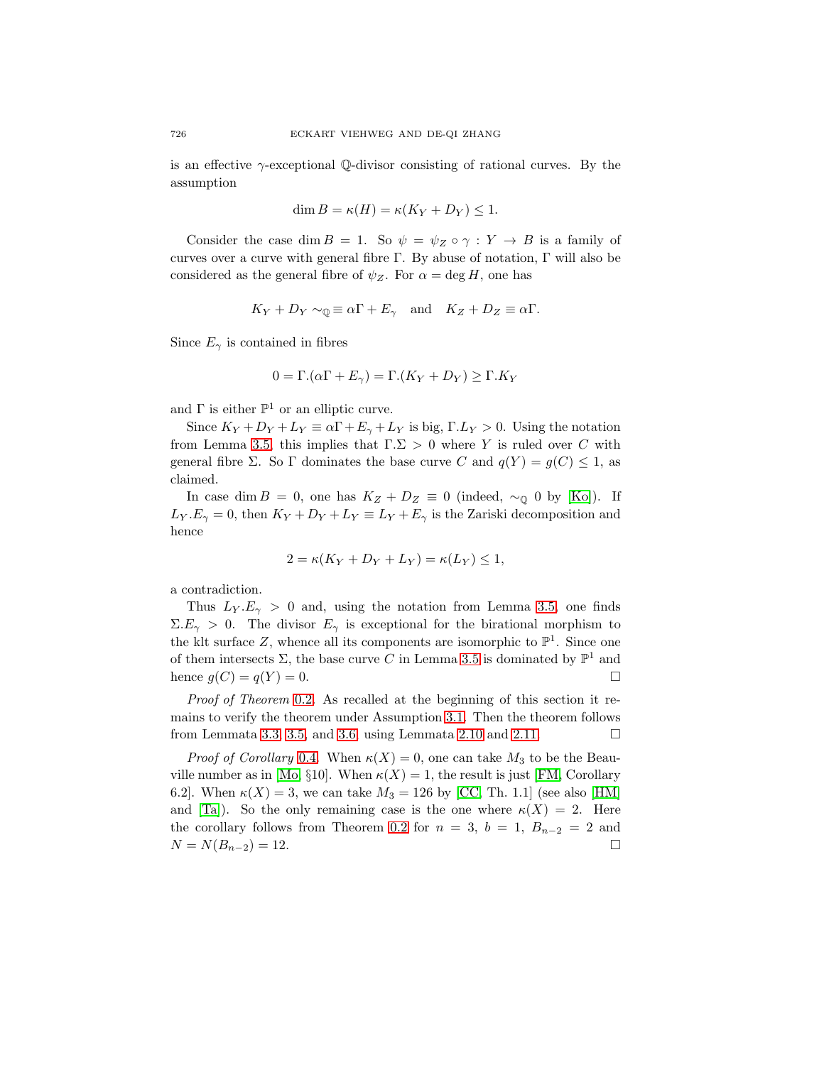is an effective  $\gamma$ -exceptional Q-divisor consisting of rational curves. By the assumption

$$
\dim B = \kappa(H) = \kappa(K_Y + D_Y) \le 1.
$$

Consider the case dim  $B = 1$ . So  $\psi = \psi_Z \circ \gamma : Y \to B$  is a family of curves over a curve with general fibre Γ. By abuse of notation, Γ will also be considered as the general fibre of  $\psi_Z$ . For  $\alpha = \deg H$ , one has

$$
K_Y + D_Y \sim_{\mathbb{Q}} \equiv \alpha \Gamma + E_\gamma
$$
 and  $K_Z + D_Z \equiv \alpha \Gamma$ .

Since  $E_{\gamma}$  is contained in fibres

$$
0 = \Gamma \cdot (\alpha \Gamma + E_{\gamma}) = \Gamma \cdot (K_Y + D_Y) \ge \Gamma \cdot K_Y
$$

and  $\Gamma$  is either  $\mathbb{P}^1$  or an elliptic curve.

Since  $K_Y + D_Y + L_Y \equiv \alpha \Gamma + E_{\gamma} + L_Y$  is big,  $\Gamma L_Y > 0$ . Using the notation from Lemma [3.5,](#page-13-0) this implies that  $\Gamma \Sigma > 0$  where Y is ruled over C with general fibre Σ. So Γ dominates the base curve C and  $q(Y) = q(C) \leq 1$ , as claimed.

In case dim  $B = 0$ , one has  $K_Z + D_Z \equiv 0$  (indeed,  $\sim_{\mathbb{Q}} 0$  by [\[Ko\]](#page-18-10)). If  $L_Y.E_\gamma = 0$ , then  $K_Y + D_Y + L_Y \equiv L_Y + E_\gamma$  is the Zariski decomposition and hence

$$
2 = \kappa (K_Y + D_Y + L_Y) = \kappa (L_Y) \le 1,
$$

a contradiction.

Thus  $L_Y.E_\gamma > 0$  and, using the notation from Lemma [3.5,](#page-13-0) one finds  $\Sigma.E_{\gamma} > 0$ . The divisor  $E_{\gamma}$  is exceptional for the birational morphism to the klt surface Z, whence all its components are isomorphic to  $\mathbb{P}^1$ . Since one of them intersects  $\Sigma$ , the base curve C in Lemma [3.5](#page-13-0) is dominated by  $\mathbb{P}^1$  and hence  $g(C) = q(Y) = 0$ .

Proof of Theorem [0.2.](#page-1-0) As recalled at the beginning of this section it remains to verify the theorem under Assumption [3.1.](#page-11-1) Then the theorem follows from Lemmata [3.3,](#page-12-0) [3.5,](#page-13-0) and [3.6,](#page-14-0) using Lemmata [2.10](#page-9-0) and [2.11.](#page-10-0)  $\Box$ 

*Proof of Corollary* [0.4.](#page-2-1) When  $\kappa(X) = 0$ , one can take  $M_3$  to be the Beau-ville number as in [\[Mo,](#page-18-3) §10]. When  $\kappa(X) = 1$ , the result is just [\[FM,](#page-18-2) Corollary 6.2]. When  $\kappa(X) = 3$ , we can take  $M_3 = 126$  by [\[CC,](#page-18-4) Th. 1.1] (see also [\[HM\]](#page-18-0) and [\[Ta\]](#page-19-0)). So the only remaining case is the one where  $\kappa(X) = 2$ . Here the corollary follows from Theorem [0.2](#page-1-0) for  $n = 3$ ,  $b = 1$ ,  $B_{n-2} = 2$  and  $N = N(B_{n-2}) = 12.$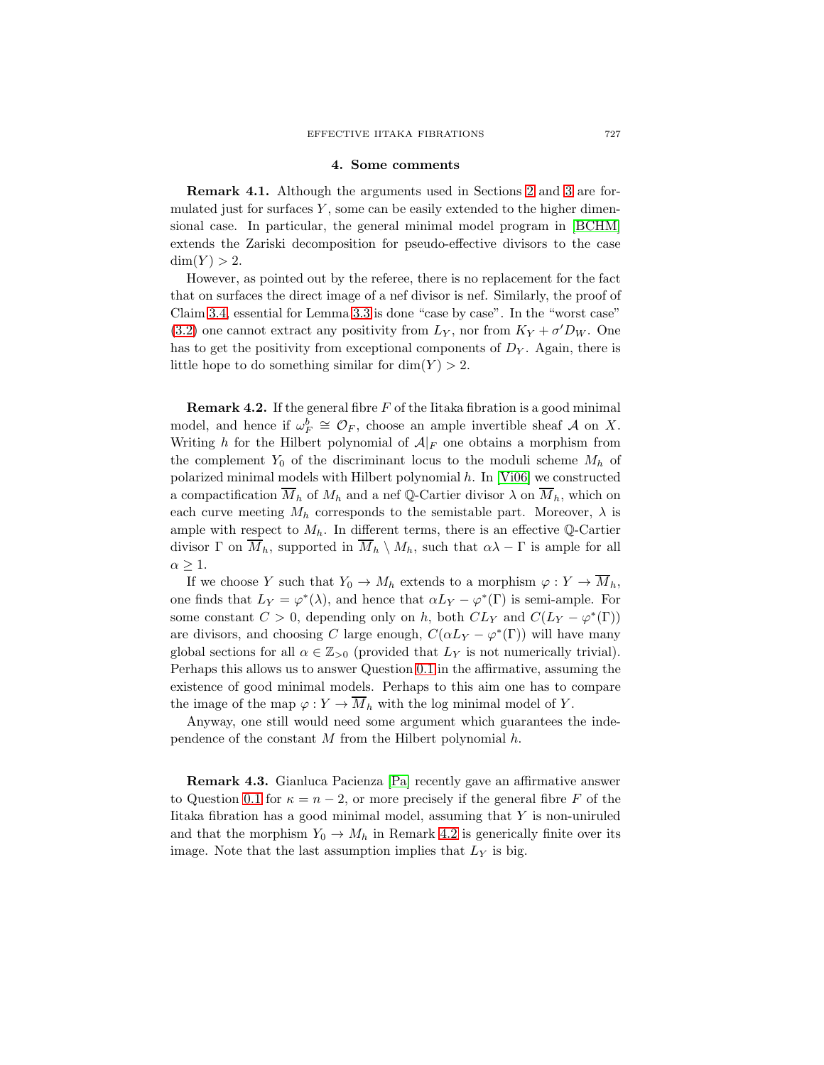#### **4. Some comments**

<span id="page-16-2"></span><span id="page-16-0"></span>**Remark 4.1.** Although the arguments used in Sections [2](#page-4-0) and [3](#page-11-0) are formulated just for surfaces  $Y$ , some can be easily extended to the higher dimensional case. In particular, the general minimal model program in [\[BCHM\]](#page-18-16) extends the Zariski decomposition for pseudo-effective divisors to the case  $dim(Y) > 2.$ 

However, as pointed out by the referee, there is no replacement for the fact that on surfaces the direct image of a nef divisor is nef. Similarly, the proof of Claim [3.4,](#page-12-1) essential for Lemma [3.3](#page-12-0) is done "case by case". In the "worst case" [\(3.2\)](#page-12-2) one cannot extract any positivity from  $L_Y$ , nor from  $K_Y + \sigma' D_W$ . One has to get the positivity from exceptional components of  $D<sub>Y</sub>$ . Again, there is little hope to do something similar for  $\dim(Y) > 2$ .

<span id="page-16-1"></span>**Remark 4.2.** If the general fibre  $F$  of the Iitaka fibration is a good minimal model, and hence if  $\omega_F^b \cong \mathcal{O}_F$ , choose an ample invertible sheaf A on X. Writing h for the Hilbert polynomial of  $A|_F$  one obtains a morphism from the complement  $Y_0$  of the discriminant locus to the moduli scheme  $M_h$  of polarized minimal models with Hilbert polynomial  $h$ . In [\[Vi06\]](#page-19-4) we constructed a compactification  $\overline{M}_h$  of  $M_h$  and a nef Q-Cartier divisor  $\lambda$  on  $\overline{M}_h$ , which on each curve meeting  $M_h$  corresponds to the semistable part. Moreover,  $\lambda$  is ample with respect to  $M_h$ . In different terms, there is an effective  $\mathbb{Q}\text{-Cartier}$ divisor  $\Gamma$  on  $\overline{M}_h$ , supported in  $\overline{M}_h \setminus M_h$ , such that  $\alpha\lambda - \Gamma$  is ample for all  $\alpha \geq 1$ .

If we choose Y such that  $Y_0 \to M_h$  extends to a morphism  $\varphi : Y \to \overline{M}_h$ , one finds that  $L_Y = \varphi^*(\lambda)$ , and hence that  $\alpha L_Y - \varphi^*(\Gamma)$  is semi-ample. For some constant  $C > 0$ , depending only on h, both  $CL_Y$  and  $C(L_Y - \varphi^*(\Gamma))$ are divisors, and choosing C large enough,  $C(\alpha L_Y - \varphi^*(\Gamma))$  will have many global sections for all  $\alpha \in \mathbb{Z}_{>0}$  (provided that  $L_Y$  is not numerically trivial). Perhaps this allows us to answer Question [0.1](#page-0-0) in the affirmative, assuming the existence of good minimal models. Perhaps to this aim one has to compare the image of the map  $\varphi: Y \to \overline{M}_h$  with the log minimal model of Y.

Anyway, one still would need some argument which guarantees the independence of the constant  $M$  from the Hilbert polynomial  $h$ .

**Remark 4.3.** Gianluca Pacienza [\[Pa\]](#page-19-5) recently gave an affirmative answer to Question [0.1](#page-0-0) for  $\kappa = n - 2$ , or more precisely if the general fibre F of the Iitaka fibration has a good minimal model, assuming that  $Y$  is non-uniruled and that the morphism  $Y_0 \to M_h$  in Remark [4.2](#page-16-1) is generically finite over its image. Note that the last assumption implies that  $L<sub>Y</sub>$  is big.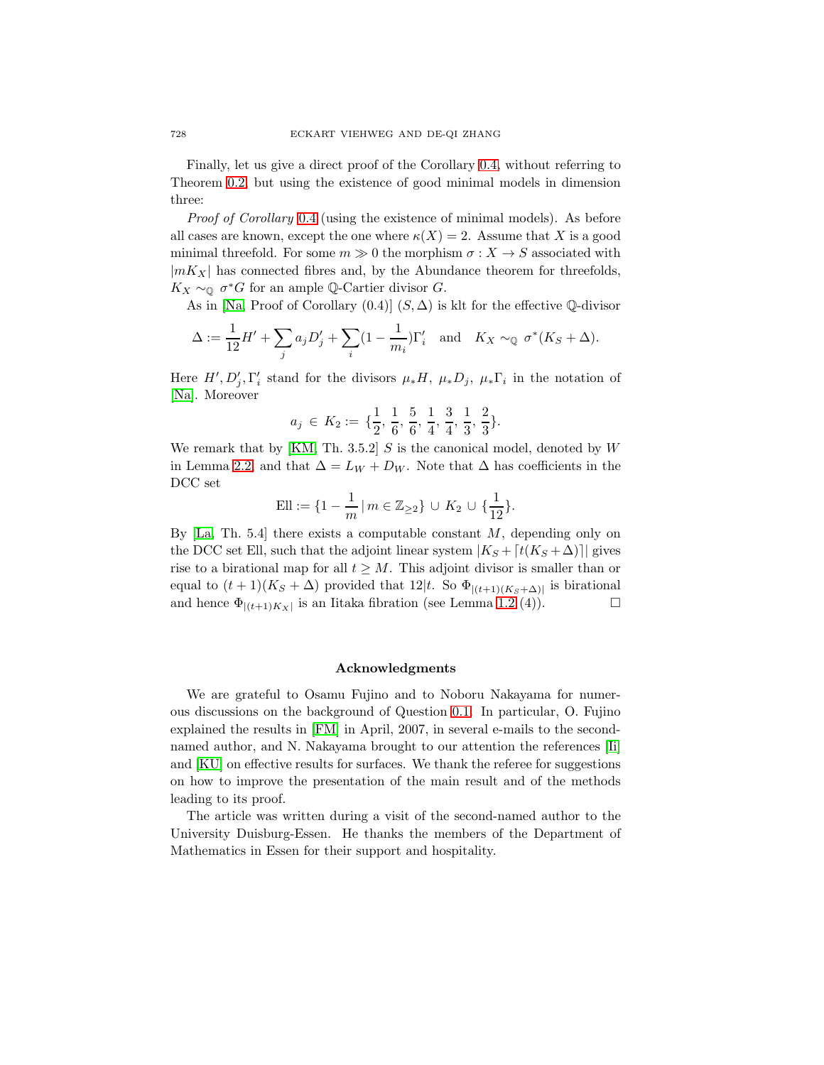Finally, let us give a direct proof of the Corollary [0.4,](#page-2-1) without referring to Theorem [0.2,](#page-1-0) but using the existence of good minimal models in dimension three:

*Proof of Corollary* [0.4](#page-2-1) (using the existence of minimal models). As before all cases are known, except the one where  $\kappa(X) = 2$ . Assume that X is a good minimal threefold. For some  $m \gg 0$  the morphism  $\sigma : X \to S$  associated with  $|mK_X|$  has connected fibres and, by the Abundance theorem for threefolds,  $K_X \sim_{\mathbb{Q}} \sigma^*G$  for an ample  $\mathbb{Q}\text{-Cartier divisor } G$ .

As in [\[Na,](#page-18-17) Proof of Corollary  $(0.4)$ ]  $(S, \Delta)$  is klt for the effective Q-divisor

$$
\Delta := \frac{1}{12}H' + \sum_j a_j D'_j + \sum_i (1 - \frac{1}{m_i})\Gamma'_i \text{ and } K_X \sim_{\mathbb{Q}} \sigma^*(K_S + \Delta).
$$

Here  $H', D'_j, \Gamma'_i$  stand for the divisors  $\mu_* H, \ \mu_* D_j, \ \mu_* \Gamma_i$  in the notation of [\[Na\]](#page-18-17). Moreover

$$
a_j \in K_2 := \{\frac{1}{2}, \frac{1}{6}, \frac{5}{6}, \frac{1}{4}, \frac{3}{4}, \frac{1}{3}, \frac{2}{3}\}.
$$

We remark that by [\[KM,](#page-18-7) Th. 3.5.2]  $S$  is the canonical model, denoted by  $W$ in Lemma [2.2,](#page-4-1) and that  $\Delta = L_W + D_W$ . Note that  $\Delta$  has coefficients in the DCC set

Ell := 
$$
\{1 - \frac{1}{m} | m \in \mathbb{Z}_{\geq 2}\} \cup K_2 \cup \{\frac{1}{12}\}.
$$

By  $[La, Th. 5.4]$  $[La, Th. 5.4]$  there exists a computable constant M, depending only on the DCC set Ell, such that the adjoint linear system  $|K_S + [t(K_S + \Delta))]$  gives rise to a birational map for all  $t \geq M$ . This adjoint divisor is smaller than or equal to  $(t + 1)(K_S + \Delta)$  provided that  $12|t$ . So  $\Phi_{|(t+1)(K_S+\Delta)|}$  is birational<br>and hence  $\Phi_{|(t+1)(K_A)}$  is an Iitaka fibration (see Lemma 1.2 (4)). and hence  $\Phi_{|(t+1)K_X|}$  is an Iitaka fibration (see Lemma [1.2](#page-3-0) (4)).

### **Acknowledgments**

We are grateful to Osamu Fujino and to Noboru Nakayama for numerous discussions on the background ofQuestion [0.1.](#page-0-0) In particular, O. Fujino explained the results in [\[FM\]](#page-18-2) in April, 2007, in several e-mails to the secondnamed author, and N. Nakayama brought to our attention the references [\[Ii\]](#page-18-18) and [\[KU\]](#page-18-19) on effective results for surfaces. We thank the referee for suggestions on how to improve the presentation of the main result and of the methods leading to its proof.

The article was written during a visit of the second-named author to the University Duisburg-Essen. He thanks the members of the Department of Mathematics in Essen for their support and hospitality.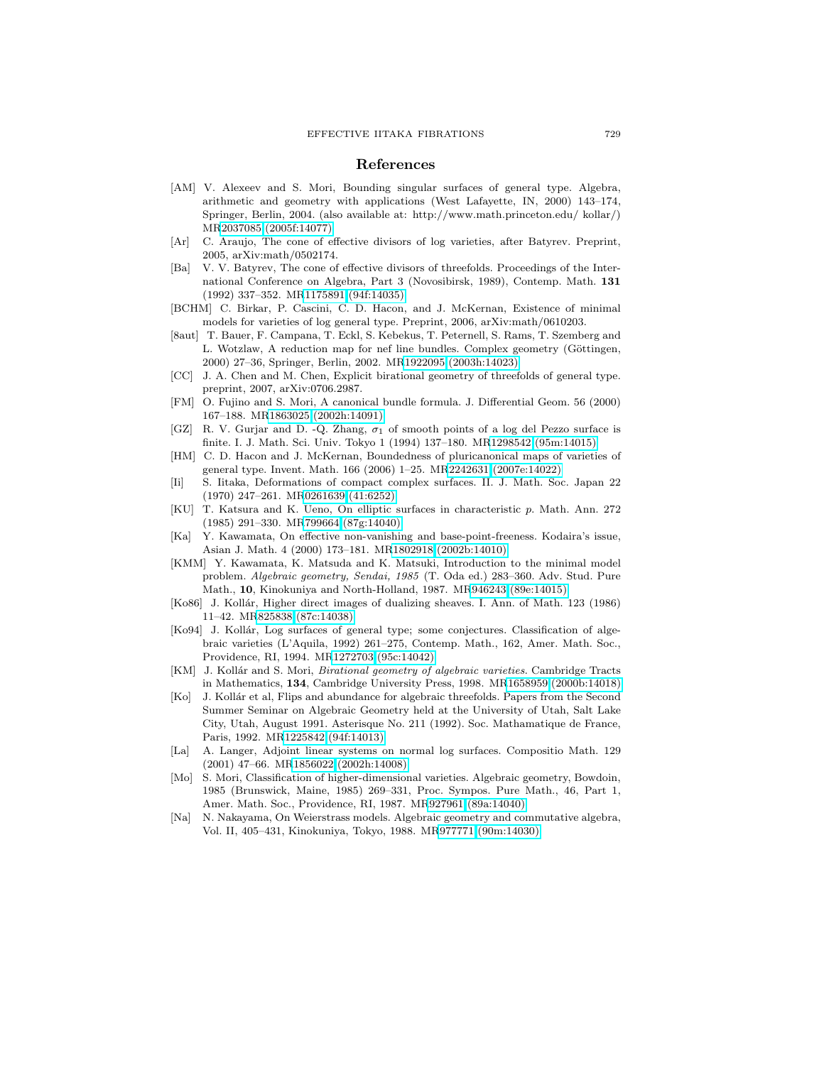#### **References**

- <span id="page-18-8"></span>[AM] V. Alexeev and S. Mori, Bounding singular surfaces of general type. Algebra, arithmetic and geometry with applications (West Lafayette, IN,  $2000$ )  $143-174$ , Springer, Berlin, 2004. (also available at: http://www.math.princeton.edu/ kollar/) M[R2037085 \(2005f:14077\)](http://www.ams.org/mathscinet-getitem?mr=2037085)
- <span id="page-18-12"></span>[Ar] C. Araujo, The cone of effective divisors of log varieties, after Batyrev. Preprint, 2005, arXiv:math/0502174.
- <span id="page-18-11"></span>[Ba] V. V. Batyrev, The cone of effective divisors of threefolds. Proceedings of the International Conference on Algebra, Part 3 (Novosibirsk, 1989), Contemp. Math. **131** (1992)337–352. M[R1175891 \(94f:14035\)](http://www.ams.org/mathscinet-getitem?mr=1175891)
- <span id="page-18-16"></span>[BCHM] C. Birkar, P. Cascini, C. D. Hacon, and J. McKernan, Existence of minimal models for varieties of log general type. Preprint, 2006, arXiv:math/0610203.
- <span id="page-18-15"></span>[8aut] T. Bauer, F. Campana, T. Eckl, S. Kebekus, T. Peternell, S. Rams, T. Szemberg and L. Wotzlaw, A reduction map for nef line bundles. Complex geometry (Göttingen, 2000)27–36, Springer, Berlin, 2002. M[R1922095 \(2003h:14023\)](http://www.ams.org/mathscinet-getitem?mr=1922095)
- <span id="page-18-4"></span>[CC] J. A. Chen and M. Chen, Explicit birational geometry of threefolds of general type. preprint, 2007, arXiv:0706.2987.
- <span id="page-18-2"></span>[FM] O. Fujino and S. Mori, A canonical bundle formula. J. Differential Geom. 56 (2000) 167–188. M[R1863025 \(2002h:14091\)](http://www.ams.org/mathscinet-getitem?mr=1863025)
- <span id="page-18-13"></span>[GZ] R. V. Gurjar and D. -Q. Zhang,  $\sigma_1$  of smooth points of a log del Pezzo surface is finite. I. J. Math. Sci. Univ. Tokyo 1 (1994)137–180. M[R1298542 \(95m:14015\)](http://www.ams.org/mathscinet-getitem?mr=1298542)
- <span id="page-18-0"></span>[HM] C. D. Hacon and J. McKernan, Boundedness of pluricanonical maps of varieties of general type. Invent. Math. 166 (2006)1–25. M[R2242631 \(2007e:14022\)](http://www.ams.org/mathscinet-getitem?mr=2242631)
- <span id="page-18-18"></span>[Ii] S. Iitaka, Deformations of compact complex surfaces. II. J. Math. Soc. Japan 22 (1970)247–261. M[R0261639 \(41:6252\)](http://www.ams.org/mathscinet-getitem?mr=0261639)
- <span id="page-18-19"></span>[KU] T. Katsura and K. Ueno, On elliptic surfaces in characteristic p. Math. Ann. 272 (1985)291–330. M[R799664 \(87g:14040\)](http://www.ams.org/mathscinet-getitem?mr=799664)
- <span id="page-18-14"></span>[Ka] Y. Kawamata, On effective non-vanishing and base-point-freeness. Kodaira's issue, Asian J. Math. 4 (2000)173–181. M[R1802918 \(2002b:14010\)](http://www.ams.org/mathscinet-getitem?mr=1802918)
- <span id="page-18-6"></span>[KMM] Y. Kawamata, K. Matsuda and K. Matsuki, Introduction to the minimal model problem. Algebraic geometry, Sendai, 1985 (T. Oda ed.)283–360. Adv. Stud. Pure Math., **10**, Kinokuniya and North-Holland, 1987. M[R946243 \(89e:14015\)](http://www.ams.org/mathscinet-getitem?mr=946243)
- <span id="page-18-1"></span>[Ko86] J. Kollár, Higher direct images of dualizing sheaves. I. Ann. of Math. 123 (1986) 11–42. M[R825838 \(87c:14038\)](http://www.ams.org/mathscinet-getitem?mr=825838)
- <span id="page-18-5"></span>[Ko94] J. Kollár, Log surfaces of general type; some conjectures. Classification of algebraic varieties (L'Aquila, 1992) 261–275, Contemp. Math., 162, Amer. Math. Soc., Providence, RI, 1994. M[R1272703 \(95c:14042\)](http://www.ams.org/mathscinet-getitem?mr=1272703)
- <span id="page-18-7"></span>[KM] J. Kollár and S. Mori, *Birational geometry of algebraic varieties*. Cambridge Tracts in Mathematics, **134**, Cambridge University Press, 1998. M[R1658959 \(2000b:14018\)](http://www.ams.org/mathscinet-getitem?mr=1658959)
- <span id="page-18-10"></span>[Ko] J. Kollár et al, Flips and abundance for algebraic threefolds. Papers from the Second Summer Seminar on Algebraic Geometry held at the University of Utah, Salt Lake City, Utah, August 1991. Asterisque No. 211 (1992). Soc. Mathamatique de France, Paris, 1992. M[R1225842 \(94f:14013\)](http://www.ams.org/mathscinet-getitem?mr=1225842)
- <span id="page-18-9"></span>[La] A. Langer, Adjoint linear systems on normal log surfaces. Compositio Math. 129 (2001)47–66. M[R1856022 \(2002h:14008\)](http://www.ams.org/mathscinet-getitem?mr=1856022)
- <span id="page-18-3"></span>[Mo] S. Mori, Classification of higher-dimensional varieties. Algebraic geometry, Bowdoin, 1985 (Brunswick, Maine, 1985)269–331, Proc. Sympos. Pure Math., 46, Part 1, Amer. Math. Soc., Providence, RI, 1987. M[R927961 \(89a:14040\)](http://www.ams.org/mathscinet-getitem?mr=927961)
- <span id="page-18-17"></span>[Na] N. Nakayama, On Weierstrass models. Algebraic geometry and commutative algebra, Vol. II, 405–431, Kinokuniya, Tokyo, 1988. M[R977771 \(90m:14030\)](http://www.ams.org/mathscinet-getitem?mr=977771)